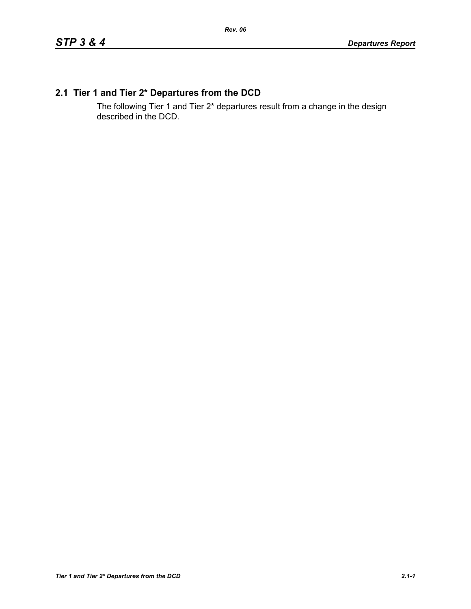# **2.1 Tier 1 and Tier 2\* Departures from the DCD**

The following Tier 1 and Tier 2\* departures result from a change in the design described in the DCD.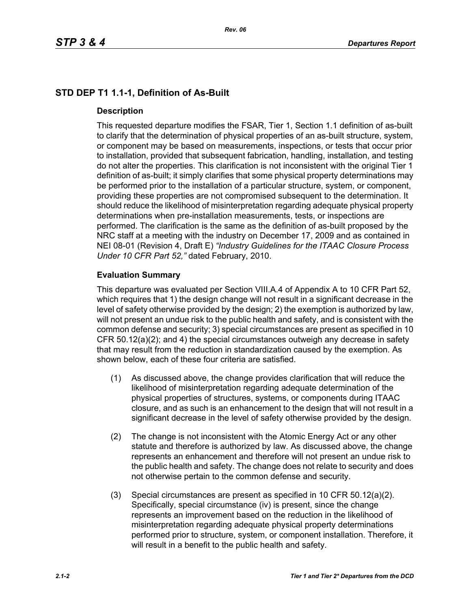# **STD DEP T1 1.1-1, Definition of As-Built**

## **Description**

This requested departure modifies the FSAR, Tier 1, Section 1.1 definition of as-built to clarify that the determination of physical properties of an as-built structure, system, or component may be based on measurements, inspections, or tests that occur prior to installation, provided that subsequent fabrication, handling, installation, and testing do not alter the properties. This clarification is not inconsistent with the original Tier 1 definition of as-built; it simply clarifies that some physical property determinations may be performed prior to the installation of a particular structure, system, or component, providing these properties are not compromised subsequent to the determination. It should reduce the likelihood of misinterpretation regarding adequate physical property determinations when pre-installation measurements, tests, or inspections are performed. The clarification is the same as the definition of as-built proposed by the NRC staff at a meeting with the industry on December 17, 2009 and as contained in NEI 08-01 (Revision 4, Draft E) *"Industry Guidelines for the ITAAC Closure Process Under 10 CFR Part 52,"* dated February, 2010.

## **Evaluation Summary**

This departure was evaluated per Section VIII.A.4 of Appendix A to 10 CFR Part 52, which requires that 1) the design change will not result in a significant decrease in the level of safety otherwise provided by the design; 2) the exemption is authorized by law, will not present an undue risk to the public health and safety, and is consistent with the common defense and security; 3) special circumstances are present as specified in 10 CFR 50.12(a)(2); and 4) the special circumstances outweigh any decrease in safety that may result from the reduction in standardization caused by the exemption. As shown below, each of these four criteria are satisfied.

- (1) As discussed above, the change provides clarification that will reduce the likelihood of misinterpretation regarding adequate determination of the physical properties of structures, systems, or components during ITAAC closure, and as such is an enhancement to the design that will not result in a significant decrease in the level of safety otherwise provided by the design.
- (2) The change is not inconsistent with the Atomic Energy Act or any other statute and therefore is authorized by law. As discussed above, the change represents an enhancement and therefore will not present an undue risk to the public health and safety. The change does not relate to security and does not otherwise pertain to the common defense and security.
- (3) Special circumstances are present as specified in 10 CFR 50.12(a)(2). Specifically, special circumstance (iv) is present, since the change represents an improvement based on the reduction in the likelihood of misinterpretation regarding adequate physical property determinations performed prior to structure, system, or component installation. Therefore, it will result in a benefit to the public health and safety.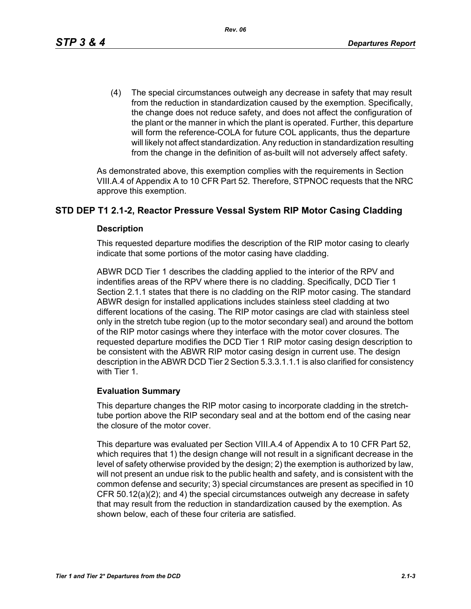(4) The special circumstances outweigh any decrease in safety that may result from the reduction in standardization caused by the exemption. Specifically, the change does not reduce safety, and does not affect the configuration of the plant or the manner in which the plant is operated. Further, this departure will form the reference-COLA for future COL applicants, thus the departure will likely not affect standardization. Any reduction in standardization resulting from the change in the definition of as-built will not adversely affect safety.

As demonstrated above, this exemption complies with the requirements in Section VIII.A.4 of Appendix A to 10 CFR Part 52. Therefore, STPNOC requests that the NRC approve this exemption.

## **STD DEP T1 2.1-2, Reactor Pressure Vessal System RIP Motor Casing Cladding**

#### **Description**

This requested departure modifies the description of the RIP motor casing to clearly indicate that some portions of the motor casing have cladding.

ABWR DCD Tier 1 describes the cladding applied to the interior of the RPV and indentifies areas of the RPV where there is no cladding. Specifically, DCD Tier 1 Section 2.1.1 states that there is no cladding on the RIP motor casing. The standard ABWR design for installed applications includes stainless steel cladding at two different locations of the casing. The RIP motor casings are clad with stainless steel only in the stretch tube region (up to the motor secondary seal) and around the bottom of the RIP motor casings where they interface with the motor cover closures. The requested departure modifies the DCD Tier 1 RIP motor casing design description to be consistent with the ABWR RIP motor casing design in current use. The design description in the ABWR DCD Tier 2 Section 5.3.3.1.1.1 is also clarified for consistency with Tier 1.

## **Evaluation Summary**

This departure changes the RIP motor casing to incorporate cladding in the stretchtube portion above the RIP secondary seal and at the bottom end of the casing near the closure of the motor cover.

This departure was evaluated per Section VIII.A.4 of Appendix A to 10 CFR Part 52, which requires that 1) the design change will not result in a significant decrease in the level of safety otherwise provided by the design; 2) the exemption is authorized by law, will not present an undue risk to the public health and safety, and is consistent with the common defense and security; 3) special circumstances are present as specified in 10 CFR 50.12(a)(2); and 4) the special circumstances outweigh any decrease in safety that may result from the reduction in standardization caused by the exemption. As shown below, each of these four criteria are satisfied.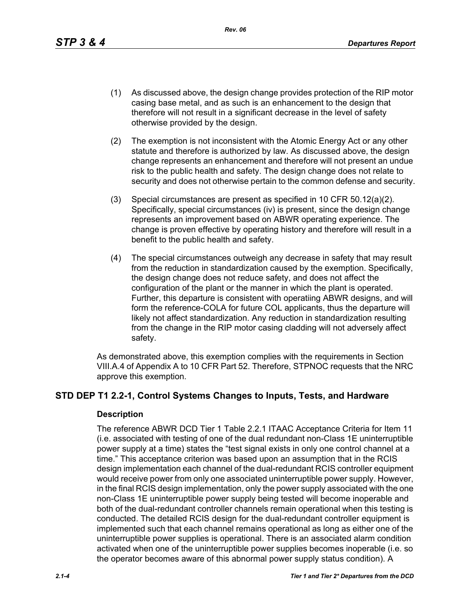*Rev. 06*

- (1) As discussed above, the design change provides protection of the RIP motor casing base metal, and as such is an enhancement to the design that therefore will not result in a significant decrease in the level of safety otherwise provided by the design.
- (2) The exemption is not inconsistent with the Atomic Energy Act or any other statute and therefore is authorized by law. As discussed above, the design change represents an enhancement and therefore will not present an undue risk to the public health and safety. The design change does not relate to security and does not otherwise pertain to the common defense and security.
- (3) Special circumstances are present as specified in 10 CFR 50.12(a)(2). Specifically, special circumstances (iv) is present, since the design change represents an improvement based on ABWR operating experience. The change is proven effective by operating history and therefore will result in a benefit to the public health and safety.
- (4) The special circumstances outweigh any decrease in safety that may result from the reduction in standardization caused by the exemption. Specifically, the design change does not reduce safety, and does not affect the configuration of the plant or the manner in which the plant is operated. Further, this departure is consistent with operatiing ABWR designs, and will form the reference-COLA for future COL applicants, thus the departure will likely not affect standardization. Any reduction in standardization resulting from the change in the RIP motor casing cladding will not adversely affect safety.

As demonstrated above, this exemption complies with the requirements in Section VIII.A.4 of Appendix A to 10 CFR Part 52. Therefore, STPNOC requests that the NRC approve this exemption.

## **STD DEP T1 2.2-1, Control Systems Changes to Inputs, Tests, and Hardware**

#### **Description**

The reference ABWR DCD Tier 1 Table 2.2.1 ITAAC Acceptance Criteria for Item 11 (i.e. associated with testing of one of the dual redundant non-Class 1E uninterruptible power supply at a time) states the "test signal exists in only one control channel at a time." This acceptance criterion was based upon an assumption that in the RCIS design implementation each channel of the dual-redundant RCIS controller equipment would receive power from only one associated uninterruptible power supply. However, in the final RCIS design implementation, only the power supply associated with the one non-Class 1E uninterruptible power supply being tested will become inoperable and both of the dual-redundant controller channels remain operational when this testing is conducted. The detailed RCIS design for the dual-redundant controller equipment is implemented such that each channel remains operational as long as either one of the uninterruptible power supplies is operational. There is an associated alarm condition activated when one of the uninterruptible power supplies becomes inoperable (i.e. so the operator becomes aware of this abnormal power supply status condition). A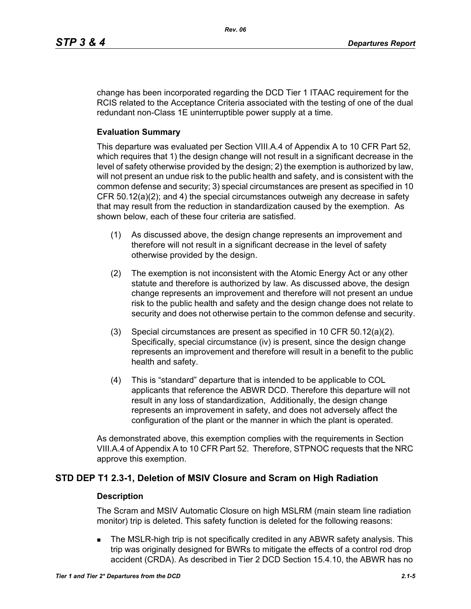change has been incorporated regarding the DCD Tier 1 ITAAC requirement for the RCIS related to the Acceptance Criteria associated with the testing of one of the dual redundant non-Class 1E uninterruptible power supply at a time.

#### **Evaluation Summary**

This departure was evaluated per Section VIII.A.4 of Appendix A to 10 CFR Part 52, which requires that 1) the design change will not result in a significant decrease in the level of safety otherwise provided by the design; 2) the exemption is authorized by law, will not present an undue risk to the public health and safety, and is consistent with the common defense and security; 3) special circumstances are present as specified in 10 CFR 50.12(a)(2); and 4) the special circumstances outweigh any decrease in safety that may result from the reduction in standardization caused by the exemption. As shown below, each of these four criteria are satisfied.

- (1) As discussed above, the design change represents an improvement and therefore will not result in a significant decrease in the level of safety otherwise provided by the design.
- (2) The exemption is not inconsistent with the Atomic Energy Act or any other statute and therefore is authorized by law. As discussed above, the design change represents an improvement and therefore will not present an undue risk to the public health and safety and the design change does not relate to security and does not otherwise pertain to the common defense and security.
- (3) Special circumstances are present as specified in 10 CFR 50.12(a)(2). Specifically, special circumstance (iv) is present, since the design change represents an improvement and therefore will result in a benefit to the public health and safety.
- (4) This is "standard" departure that is intended to be applicable to COL applicants that reference the ABWR DCD. Therefore this departure will not result in any loss of standardization, Additionally, the design change represents an improvement in safety, and does not adversely affect the configuration of the plant or the manner in which the plant is operated.

As demonstrated above, this exemption complies with the requirements in Section VIII.A.4 of Appendix A to 10 CFR Part 52. Therefore, STPNOC requests that the NRC approve this exemption.

## **STD DEP T1 2.3-1, Deletion of MSIV Closure and Scram on High Radiation**

#### **Description**

The Scram and MSIV Automatic Closure on high MSLRM (main steam line radiation monitor) trip is deleted. This safety function is deleted for the following reasons:

 The MSLR-high trip is not specifically credited in any ABWR safety analysis. This trip was originally designed for BWRs to mitigate the effects of a control rod drop accident (CRDA). As described in Tier 2 DCD Section 15.4.10, the ABWR has no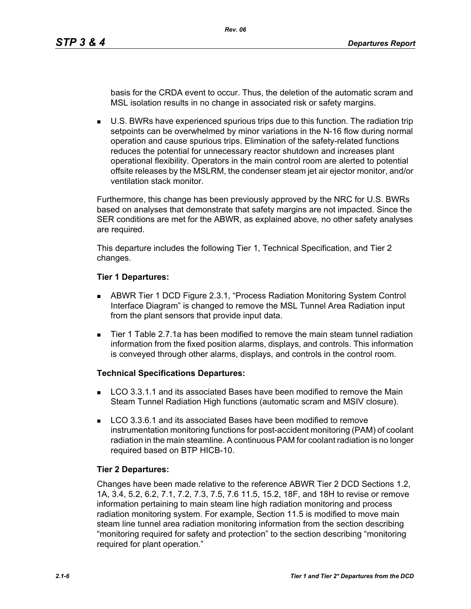basis for the CRDA event to occur. Thus, the deletion of the automatic scram and MSL isolation results in no change in associated risk or safety margins.

 U.S. BWRs have experienced spurious trips due to this function. The radiation trip setpoints can be overwhelmed by minor variations in the N-16 flow during normal operation and cause spurious trips. Elimination of the safety-related functions reduces the potential for unnecessary reactor shutdown and increases plant operational flexibility. Operators in the main control room are alerted to potential offsite releases by the MSLRM, the condenser steam jet air ejector monitor, and/or ventilation stack monitor.

Furthermore, this change has been previously approved by the NRC for U.S. BWRs based on analyses that demonstrate that safety margins are not impacted. Since the SER conditions are met for the ABWR, as explained above, no other safety analyses are required.

This departure includes the following Tier 1, Technical Specification, and Tier 2 changes.

#### **Tier 1 Departures:**

- ABWR Tier 1 DCD Figure 2.3.1, "Process Radiation Monitoring System Control Interface Diagram" is changed to remove the MSL Tunnel Area Radiation input from the plant sensors that provide input data.
- Tier 1 Table 2.7.1a has been modified to remove the main steam tunnel radiation information from the fixed position alarms, displays, and controls. This information is conveyed through other alarms, displays, and controls in the control room.

## **Technical Specifications Departures:**

- **LCO 3.3.1.1 and its associated Bases have been modified to remove the Main** Steam Tunnel Radiation High functions (automatic scram and MSIV closure).
- LCO 3.3.6.1 and its associated Bases have been modified to remove instrumentation monitoring functions for post-accident monitoring (PAM) of coolant radiation in the main steamline. A continuous PAM for coolant radiation is no longer required based on BTP HICB-10.

## **Tier 2 Departures:**

Changes have been made relative to the reference ABWR Tier 2 DCD Sections 1.2, 1A, 3.4, 5.2, 6.2, 7.1, 7.2, 7.3, 7.5, 7.6 11.5, 15.2, 18F, and 18H to revise or remove information pertaining to main steam line high radiation monitoring and process radiation monitoring system. For example, Section 11.5 is modified to move main steam line tunnel area radiation monitoring information from the section describing "monitoring required for safety and protection" to the section describing "monitoring required for plant operation."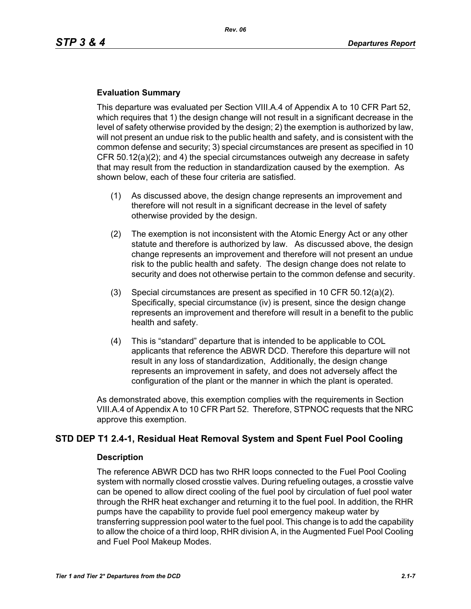## **Evaluation Summary**

This departure was evaluated per Section VIII.A.4 of Appendix A to 10 CFR Part 52, which requires that 1) the design change will not result in a significant decrease in the level of safety otherwise provided by the design; 2) the exemption is authorized by law, will not present an undue risk to the public health and safety, and is consistent with the common defense and security; 3) special circumstances are present as specified in 10 CFR 50.12(a)(2); and 4) the special circumstances outweigh any decrease in safety that may result from the reduction in standardization caused by the exemption. As shown below, each of these four criteria are satisfied.

- (1) As discussed above, the design change represents an improvement and therefore will not result in a significant decrease in the level of safety otherwise provided by the design.
- (2) The exemption is not inconsistent with the Atomic Energy Act or any other statute and therefore is authorized by law. As discussed above, the design change represents an improvement and therefore will not present an undue risk to the public health and safety. The design change does not relate to security and does not otherwise pertain to the common defense and security.
- (3) Special circumstances are present as specified in 10 CFR 50.12(a)(2). Specifically, special circumstance (iv) is present, since the design change represents an improvement and therefore will result in a benefit to the public health and safety.
- (4) This is "standard" departure that is intended to be applicable to COL applicants that reference the ABWR DCD. Therefore this departure will not result in any loss of standardization, Additionally, the design change represents an improvement in safety, and does not adversely affect the configuration of the plant or the manner in which the plant is operated.

As demonstrated above, this exemption complies with the requirements in Section VIII.A.4 of Appendix A to 10 CFR Part 52. Therefore, STPNOC requests that the NRC approve this exemption.

## **STD DEP T1 2.4-1, Residual Heat Removal System and Spent Fuel Pool Cooling**

#### **Description**

The reference ABWR DCD has two RHR loops connected to the Fuel Pool Cooling system with normally closed crosstie valves. During refueling outages, a crosstie valve can be opened to allow direct cooling of the fuel pool by circulation of fuel pool water through the RHR heat exchanger and returning it to the fuel pool. In addition, the RHR pumps have the capability to provide fuel pool emergency makeup water by transferring suppression pool water to the fuel pool. This change is to add the capability to allow the choice of a third loop, RHR division A, in the Augmented Fuel Pool Cooling and Fuel Pool Makeup Modes.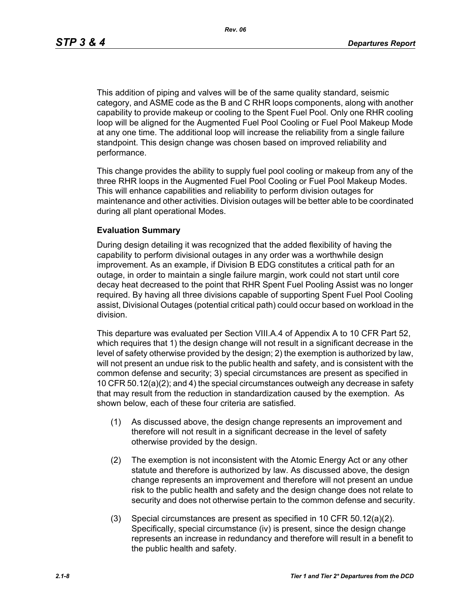This addition of piping and valves will be of the same quality standard, seismic category, and ASME code as the B and C RHR loops components, along with another capability to provide makeup or cooling to the Spent Fuel Pool. Only one RHR cooling loop will be aligned for the Augmented Fuel Pool Cooling or Fuel Pool Makeup Mode at any one time. The additional loop will increase the reliability from a single failure standpoint. This design change was chosen based on improved reliability and performance.

This change provides the ability to supply fuel pool cooling or makeup from any of the three RHR loops in the Augmented Fuel Pool Cooling or Fuel Pool Makeup Modes. This will enhance capabilities and reliability to perform division outages for maintenance and other activities. Division outages will be better able to be coordinated during all plant operational Modes.

#### **Evaluation Summary**

During design detailing it was recognized that the added flexibility of having the capability to perform divisional outages in any order was a worthwhile design improvement. As an example, if Division B EDG constitutes a critical path for an outage, in order to maintain a single failure margin, work could not start until core decay heat decreased to the point that RHR Spent Fuel Pooling Assist was no longer required. By having all three divisions capable of supporting Spent Fuel Pool Cooling assist, Divisional Outages (potential critical path) could occur based on workload in the division.

This departure was evaluated per Section VIII.A.4 of Appendix A to 10 CFR Part 52, which requires that 1) the design change will not result in a significant decrease in the level of safety otherwise provided by the design; 2) the exemption is authorized by law, will not present an undue risk to the public health and safety, and is consistent with the common defense and security; 3) special circumstances are present as specified in 10 CFR 50.12(a)(2); and 4) the special circumstances outweigh any decrease in safety that may result from the reduction in standardization caused by the exemption. As shown below, each of these four criteria are satisfied.

- (1) As discussed above, the design change represents an improvement and therefore will not result in a significant decrease in the level of safety otherwise provided by the design.
- (2) The exemption is not inconsistent with the Atomic Energy Act or any other statute and therefore is authorized by law. As discussed above, the design change represents an improvement and therefore will not present an undue risk to the public health and safety and the design change does not relate to security and does not otherwise pertain to the common defense and security.
- (3) Special circumstances are present as specified in 10 CFR 50.12(a)(2). Specifically, special circumstance (iv) is present, since the design change represents an increase in redundancy and therefore will result in a benefit to the public health and safety.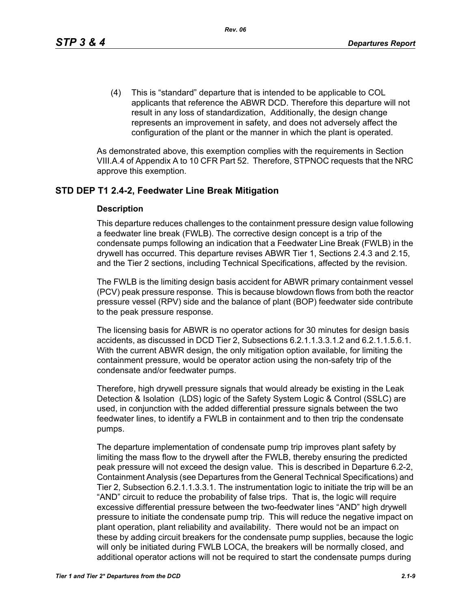(4) This is "standard" departure that is intended to be applicable to COL applicants that reference the ABWR DCD. Therefore this departure will not result in any loss of standardization, Additionally, the design change represents an improvement in safety, and does not adversely affect the configuration of the plant or the manner in which the plant is operated.

As demonstrated above, this exemption complies with the requirements in Section VIII.A.4 of Appendix A to 10 CFR Part 52. Therefore, STPNOC requests that the NRC approve this exemption.

## **STD DEP T1 2.4-2, Feedwater Line Break Mitigation**

#### **Description**

This departure reduces challenges to the containment pressure design value following a feedwater line break (FWLB). The corrective design concept is a trip of the condensate pumps following an indication that a Feedwater Line Break (FWLB) in the drywell has occurred. This departure revises ABWR Tier 1, Sections 2.4.3 and 2.15, and the Tier 2 sections, including Technical Specifications, affected by the revision.

The FWLB is the limiting design basis accident for ABWR primary containment vessel (PCV) peak pressure response. This is because blowdown flows from both the reactor pressure vessel (RPV) side and the balance of plant (BOP) feedwater side contribute to the peak pressure response.

The licensing basis for ABWR is no operator actions for 30 minutes for design basis accidents, as discussed in DCD Tier 2, Subsections 6.2.1.1.3.3.1.2 and 6.2.1.1.5.6.1. With the current ABWR design, the only mitigation option available, for limiting the containment pressure, would be operator action using the non-safety trip of the condensate and/or feedwater pumps.

Therefore, high drywell pressure signals that would already be existing in the Leak Detection & Isolation (LDS) logic of the Safety System Logic & Control (SSLC) are used, in conjunction with the added differential pressure signals between the two feedwater lines, to identify a FWLB in containment and to then trip the condensate pumps.

The departure implementation of condensate pump trip improves plant safety by limiting the mass flow to the drywell after the FWLB, thereby ensuring the predicted peak pressure will not exceed the design value. This is described in Departure 6.2-2, Containment Analysis (see Departures from the General Technical Specifications) and Tier 2, Subsection 6.2.1.1.3.3.1. The instrumentation logic to initiate the trip will be an "AND" circuit to reduce the probability of false trips. That is, the logic will require excessive differential pressure between the two-feedwater lines "AND" high drywell pressure to initiate the condensate pump trip. This will reduce the negative impact on plant operation, plant reliability and availability. There would not be an impact on these by adding circuit breakers for the condensate pump supplies, because the logic will only be initiated during FWLB LOCA, the breakers will be normally closed, and additional operator actions will not be required to start the condensate pumps during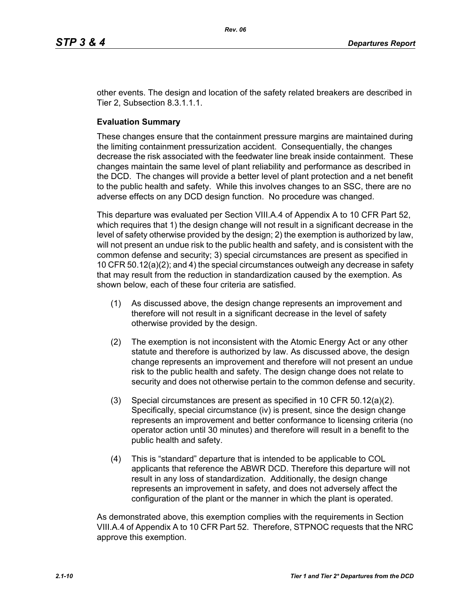other events. The design and location of the safety related breakers are described in Tier 2, Subsection 8.3.1.1.1.

#### **Evaluation Summary**

These changes ensure that the containment pressure margins are maintained during the limiting containment pressurization accident. Consequentially, the changes decrease the risk associated with the feedwater line break inside containment. These changes maintain the same level of plant reliability and performance as described in the DCD. The changes will provide a better level of plant protection and a net benefit to the public health and safety. While this involves changes to an SSC, there are no adverse effects on any DCD design function. No procedure was changed.

This departure was evaluated per Section VIII.A.4 of Appendix A to 10 CFR Part 52, which requires that 1) the design change will not result in a significant decrease in the level of safety otherwise provided by the design; 2) the exemption is authorized by law, will not present an undue risk to the public health and safety, and is consistent with the common defense and security; 3) special circumstances are present as specified in 10 CFR 50.12(a)(2); and 4) the special circumstances outweigh any decrease in safety that may result from the reduction in standardization caused by the exemption. As shown below, each of these four criteria are satisfied.

- (1) As discussed above, the design change represents an improvement and therefore will not result in a significant decrease in the level of safety otherwise provided by the design.
- (2) The exemption is not inconsistent with the Atomic Energy Act or any other statute and therefore is authorized by law. As discussed above, the design change represents an improvement and therefore will not present an undue risk to the public health and safety. The design change does not relate to security and does not otherwise pertain to the common defense and security.
- (3) Special circumstances are present as specified in 10 CFR 50.12(a)(2). Specifically, special circumstance (iv) is present, since the design change represents an improvement and better conformance to licensing criteria (no operator action until 30 minutes) and therefore will result in a benefit to the public health and safety.
- (4) This is "standard" departure that is intended to be applicable to COL applicants that reference the ABWR DCD. Therefore this departure will not result in any loss of standardization. Additionally, the design change represents an improvement in safety, and does not adversely affect the configuration of the plant or the manner in which the plant is operated.

As demonstrated above, this exemption complies with the requirements in Section VIII.A.4 of Appendix A to 10 CFR Part 52. Therefore, STPNOC requests that the NRC approve this exemption.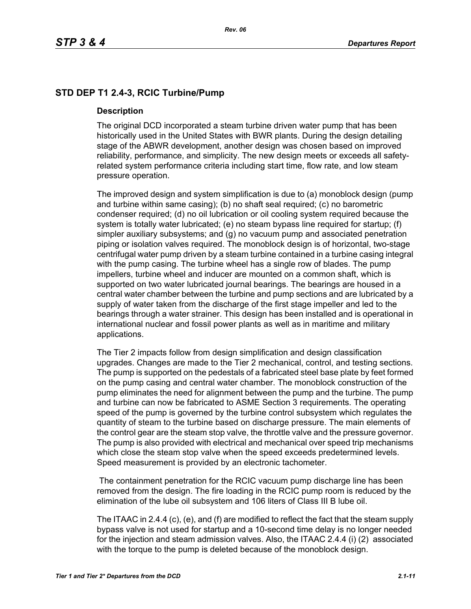# **STD DEP T1 2.4-3, RCIC Turbine/Pump**

#### **Description**

The original DCD incorporated a steam turbine driven water pump that has been historically used in the United States with BWR plants. During the design detailing stage of the ABWR development, another design was chosen based on improved reliability, performance, and simplicity. The new design meets or exceeds all safetyrelated system performance criteria including start time, flow rate, and low steam pressure operation.

The improved design and system simplification is due to (a) monoblock design (pump and turbine within same casing); (b) no shaft seal required; (c) no barometric condenser required; (d) no oil lubrication or oil cooling system required because the system is totally water lubricated; (e) no steam bypass line required for startup; (f) simpler auxiliary subsystems; and (g) no vacuum pump and associated penetration piping or isolation valves required. The monoblock design is of horizontal, two-stage centrifugal water pump driven by a steam turbine contained in a turbine casing integral with the pump casing. The turbine wheel has a single row of blades. The pump impellers, turbine wheel and inducer are mounted on a common shaft, which is supported on two water lubricated journal bearings. The bearings are housed in a central water chamber between the turbine and pump sections and are lubricated by a supply of water taken from the discharge of the first stage impeller and led to the bearings through a water strainer. This design has been installed and is operational in international nuclear and fossil power plants as well as in maritime and military applications.

The Tier 2 impacts follow from design simplification and design classification upgrades. Changes are made to the Tier 2 mechanical, control, and testing sections. The pump is supported on the pedestals of a fabricated steel base plate by feet formed on the pump casing and central water chamber. The monoblock construction of the pump eliminates the need for alignment between the pump and the turbine. The pump and turbine can now be fabricated to ASME Section 3 requirements. The operating speed of the pump is governed by the turbine control subsystem which regulates the quantity of steam to the turbine based on discharge pressure. The main elements of the control gear are the steam stop valve, the throttle valve and the pressure governor. The pump is also provided with electrical and mechanical over speed trip mechanisms which close the steam stop valve when the speed exceeds predetermined levels. Speed measurement is provided by an electronic tachometer.

 The containment penetration for the RCIC vacuum pump discharge line has been removed from the design. The fire loading in the RCIC pump room is reduced by the elimination of the lube oil subsystem and 106 liters of Class III B lube oil.

The ITAAC in 2.4.4 (c), (e), and (f) are modified to reflect the fact that the steam supply bypass valve is not used for startup and a 10-second time delay is no longer needed for the injection and steam admission valves. Also, the ITAAC 2.4.4 (i) (2) associated with the torque to the pump is deleted because of the monoblock design.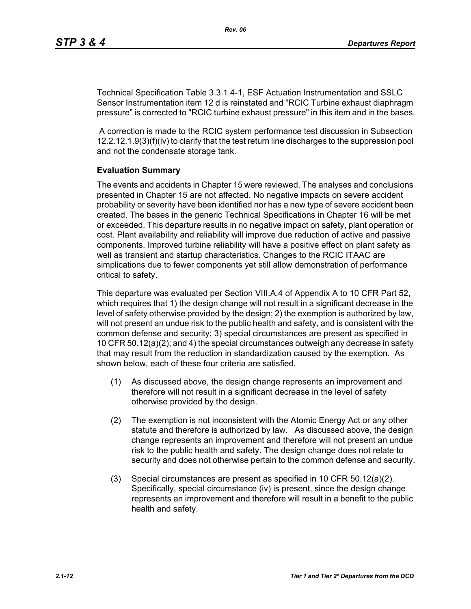Technical Specification Table 3.3.1.4-1, ESF Actuation Instrumentation and SSLC Sensor Instrumentation item 12 d is reinstated and "RCIC Turbine exhaust diaphragm pressure" is corrected to "RCIC turbine exhaust pressure" in this item and in the bases.

 A correction is made to the RCIC system performance test discussion in Subsection 12.2.12.1.9(3)(f)(iv) to clarify that the test return line discharges to the suppression pool and not the condensate storage tank.

#### **Evaluation Summary**

The events and accidents in Chapter 15 were reviewed. The analyses and conclusions presented in Chapter 15 are not affected. No negative impacts on severe accident probability or severity have been identified nor has a new type of severe accident been created. The bases in the generic Technical Specifications in Chapter 16 will be met or exceeded. This departure results in no negative impact on safety, plant operation or cost. Plant availability and reliability will improve due reduction of active and passive components. Improved turbine reliability will have a positive effect on plant safety as well as transient and startup characteristics. Changes to the RCIC ITAAC are simplications due to fewer components yet still allow demonstration of performance critical to safety.

This departure was evaluated per Section VIII.A.4 of Appendix A to 10 CFR Part 52, which requires that 1) the design change will not result in a significant decrease in the level of safety otherwise provided by the design; 2) the exemption is authorized by law, will not present an undue risk to the public health and safety, and is consistent with the common defense and security; 3) special circumstances are present as specified in 10 CFR 50.12(a)(2); and 4) the special circumstances outweigh any decrease in safety that may result from the reduction in standardization caused by the exemption. As shown below, each of these four criteria are satisfied.

- (1) As discussed above, the design change represents an improvement and therefore will not result in a significant decrease in the level of safety otherwise provided by the design.
- (2) The exemption is not inconsistent with the Atomic Energy Act or any other statute and therefore is authorized by law. As discussed above, the design change represents an improvement and therefore will not present an undue risk to the public health and safety. The design change does not relate to security and does not otherwise pertain to the common defense and security.
- (3) Special circumstances are present as specified in 10 CFR 50.12(a)(2). Specifically, special circumstance (iv) is present, since the design change represents an improvement and therefore will result in a benefit to the public health and safety.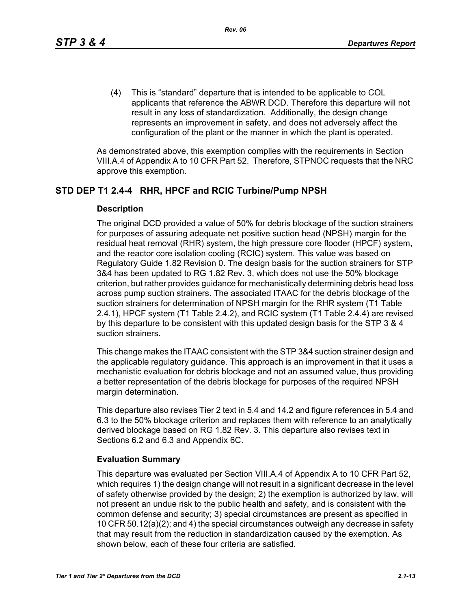(4) This is "standard" departure that is intended to be applicable to COL applicants that reference the ABWR DCD. Therefore this departure will not result in any loss of standardization. Additionally, the design change represents an improvement in safety, and does not adversely affect the configuration of the plant or the manner in which the plant is operated.

As demonstrated above, this exemption complies with the requirements in Section VIII.A.4 of Appendix A to 10 CFR Part 52. Therefore, STPNOC requests that the NRC approve this exemption.

## **STD DEP T1 2.4-4 RHR, HPCF and RCIC Turbine/Pump NPSH**

#### **Description**

The original DCD provided a value of 50% for debris blockage of the suction strainers for purposes of assuring adequate net positive suction head (NPSH) margin for the residual heat removal (RHR) system, the high pressure core flooder (HPCF) system, and the reactor core isolation cooling (RCIC) system. This value was based on Regulatory Guide 1.82 Revision 0. The design basis for the suction strainers for STP 3&4 has been updated to RG 1.82 Rev. 3, which does not use the 50% blockage criterion, but rather provides guidance for mechanistically determining debris head loss across pump suction strainers. The associated ITAAC for the debris blockage of the suction strainers for determination of NPSH margin for the RHR system (T1 Table 2.4.1), HPCF system (T1 Table 2.4.2), and RCIC system (T1 Table 2.4.4) are revised by this departure to be consistent with this updated design basis for the STP 3 & 4 suction strainers.

This change makes the ITAAC consistent with the STP 3&4 suction strainer design and the applicable regulatory guidance. This approach is an improvement in that it uses a mechanistic evaluation for debris blockage and not an assumed value, thus providing a better representation of the debris blockage for purposes of the required NPSH margin determination.

This departure also revises Tier 2 text in 5.4 and 14.2 and figure references in 5.4 and 6.3 to the 50% blockage criterion and replaces them with reference to an analytically derived blockage based on RG 1.82 Rev. 3. This departure also revises text in Sections 6.2 and 6.3 and Appendix 6C.

## **Evaluation Summary**

This departure was evaluated per Section VIII.A.4 of Appendix A to 10 CFR Part 52, which requires 1) the design change will not result in a significant decrease in the level of safety otherwise provided by the design; 2) the exemption is authorized by law, will not present an undue risk to the public health and safety, and is consistent with the common defense and security; 3) special circumstances are present as specified in 10 CFR 50.12(a)(2); and 4) the special circumstances outweigh any decrease in safety that may result from the reduction in standardization caused by the exemption. As shown below, each of these four criteria are satisfied.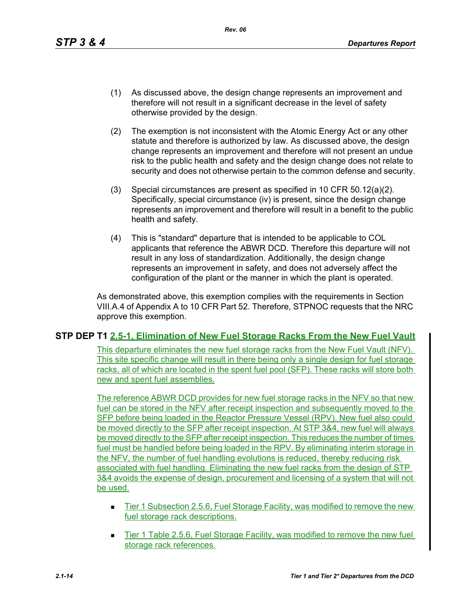- (1) As discussed above, the design change represents an improvement and therefore will not result in a significant decrease in the level of safety otherwise provided by the design.
- (2) The exemption is not inconsistent with the Atomic Energy Act or any other statute and therefore is authorized by law. As discussed above, the design change represents an improvement and therefore will not present an undue risk to the public health and safety and the design change does not relate to security and does not otherwise pertain to the common defense and security.
- (3) Special circumstances are present as specified in 10 CFR 50.12(a)(2). Specifically, special circumstance (iv) is present, since the design change represents an improvement and therefore will result in a benefit to the public health and safety.
- (4) This is "standard" departure that is intended to be applicable to COL applicants that reference the ABWR DCD. Therefore this departure will not result in any loss of standardization. Additionally, the design change represents an improvement in safety, and does not adversely affect the configuration of the plant or the manner in which the plant is operated.

As demonstrated above, this exemption complies with the requirements in Section VIII.A.4 of Appendix A to 10 CFR Part 52. Therefore, STPNOC requests that the NRC approve this exemption.

## **STP DEP T1 2.5-1, Elimination of New Fuel Storage Racks From the New Fuel Vault**

This departure eliminates the new fuel storage racks from the New Fuel Vault (NFV). This site specific change will result in there being only a single design for fuel storage racks, all of which are located in the spent fuel pool (SFP). These racks will store both new and spent fuel assemblies.

The reference ABWR DCD provides for new fuel storage racks in the NFV so that new fuel can be stored in the NFV after receipt inspection and subsequently moved to the SFP before being loaded in the Reactor Pressure Vessel (RPV). New fuel also could be moved directly to the SFP after receipt inspection. At STP 3&4, new fuel will always be moved directly to the SFP after receipt inspection. This reduces the number of times fuel must be handled before being loaded in the RPV. By eliminating interim storage in the NFV, the number of fuel handling evolutions is reduced, thereby reducing risk associated with fuel handling. Eliminating the new fuel racks from the design of STP 3&4 avoids the expense of design, procurement and licensing of a system that will not be used.

- Tier 1 Subsection 2.5.6, Fuel Storage Facility, was modified to remove the new fuel storage rack descriptions.
- Tier 1 Table 2.5.6, Fuel Storage Facility, was modified to remove the new fuel storage rack references.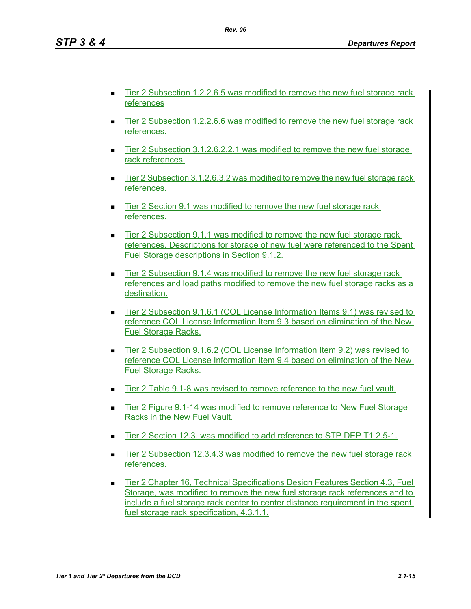Tier 2 Subsection 1.2.2.6.5 was modified to remove the new fuel storage rack references

*Rev. 06*

- Tier 2 Subsection 1.2.2.6.6 was modified to remove the new fuel storage rack references.
- Tier 2 Subsection 3.1.2.6.2.2.1 was modified to remove the new fuel storage rack references.
- Tier 2 Subsection 3.1.2.6.3.2 was modified to remove the new fuel storage rack references.
- Tier 2 Section 9.1 was modified to remove the new fuel storage rack references.
- Tier 2 Subsection 9.1.1 was modified to remove the new fuel storage rack references. Descriptions for storage of new fuel were referenced to the Spent Fuel Storage descriptions in Section 9.1.2.
- Tier 2 Subsection 9.1.4 was modified to remove the new fuel storage rack references and load paths modified to remove the new fuel storage racks as a destination.
- Tier 2 Subsection 9.1.6.1 (COL License Information Items 9.1) was revised to reference COL License Information Item 9.3 based on elimination of the New Fuel Storage Racks.
- Tier 2 Subsection 9.1.6.2 (COL License Information Item 9.2) was revised to reference COL License Information Item 9.4 based on elimination of the New Fuel Storage Racks.
- Tier 2 Table 9.1-8 was revised to remove reference to the new fuel vault.
- Tier 2 Figure 9.1-14 was modified to remove reference to New Fuel Storage Racks in the New Fuel Vault.
- Tier 2 Section 12.3, was modified to add reference to STP DEP T1 2.5-1.
- **Tier 2 Subsection 12.3.4.3 was modified to remove the new fuel storage rack** references.
- Tier 2 Chapter 16, Technical Specifications Design Features Section 4.3, Fuel Storage, was modified to remove the new fuel storage rack references and to include a fuel storage rack center to center distance requirement in the spent fuel storage rack specification, 4.3.1.1.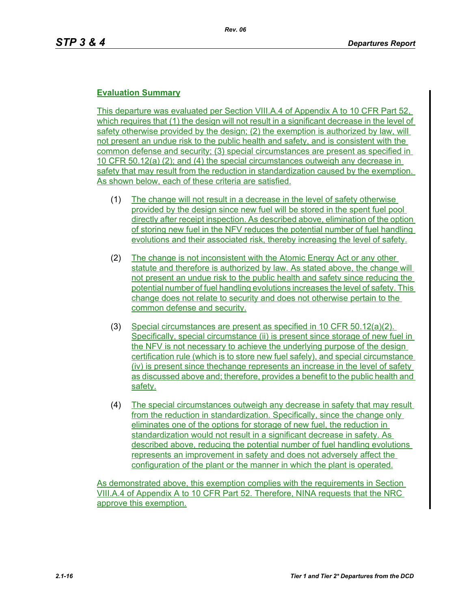## **Evaluation Summary**

This departure was evaluated per Section VIII.A.4 of Appendix A to 10 CFR Part 52, which requires that (1) the design will not result in a significant decrease in the level of safety otherwise provided by the design; (2) the exemption is authorized by law, will not present an undue risk to the public health and safety, and is consistent with the common defense and security; (3) special circumstances are present as specified in 10 CFR 50.12(a) (2); and (4) the special circumstances outweigh any decrease in safety that may result from the reduction in standardization caused by the exemption. As shown below, each of these criteria are satisfied.

- (1) The change will not result in a decrease in the level of safety otherwise provided by the design since new fuel will be stored in the spent fuel pool directly after receipt inspection. As described above, elimination of the option of storing new fuel in the NFV reduces the potential number of fuel handling evolutions and their associated risk, thereby increasing the level of safety.
- (2) The change is not inconsistent with the Atomic Energy Act or any other statute and therefore is authorized by law. As stated above, the change will not present an undue risk to the public health and safety since reducing the potential number of fuel handling evolutions increases the level of safety. This change does not relate to security and does not otherwise pertain to the common defense and security.
- (3) Special circumstances are present as specified in 10 CFR 50.12(a)(2). Specifically, special circumstance (ii) is present since storage of new fuel in the NFV is not necessary to achieve the underlying purpose of the design certification rule (which is to store new fuel safely), and special circumstance (iv) is present since thechange represents an increase in the level of safety as discussed above and; therefore, provides a benefit to the public health and safety.
- (4) The special circumstances outweigh any decrease in safety that may result from the reduction in standardization. Specifically, since the change only eliminates one of the options for storage of new fuel, the reduction in standardization would not result in a significant decrease in safety. As described above, reducing the potential number of fuel handling evolutions represents an improvement in safety and does not adversely affect the configuration of the plant or the manner in which the plant is operated.

As demonstrated above, this exemption complies with the requirements in Section VIII.A.4 of Appendix A to 10 CFR Part 52. Therefore, NINA requests that the NRC approve this exemption.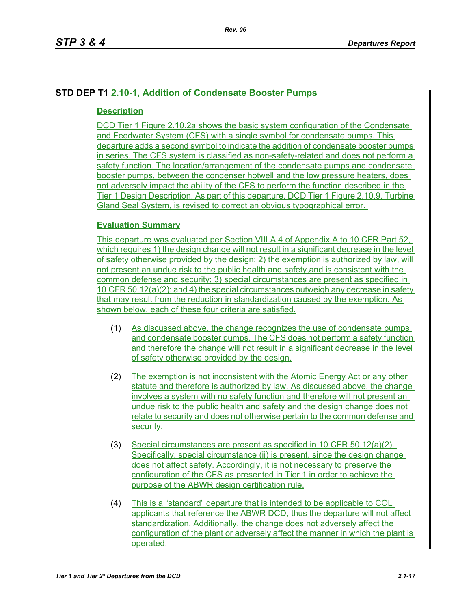# **STD DEP T1 2.10-1, Addition of Condensate Booster Pumps**

## **Description**

DCD Tier 1 Figure 2.10.2a shows the basic system configuration of the Condensate and Feedwater System (CFS) with a single symbol for condensate pumps. This departure adds a second symbol to indicate the addition of condensate booster pumps in series. The CFS system is classified as non-safety-related and does not perform a safety function. The location/arrangement of the condensate pumps and condensate booster pumps, between the condenser hotwell and the low pressure heaters, does not adversely impact the ability of the CFS to perform the function described in the Tier 1 Design Description. As part of this departure, DCD Tier 1 Figure 2.10.9, Turbine Gland Seal System, is revised to correct an obvious typographical error.

## **Evaluation Summary**

This departure was evaluated per Section VIII.A.4 of Appendix A to 10 CFR Part 52, which requires 1) the design change will not result in a significant decrease in the level of safety otherwise provided by the design; 2) the exemption is authorized by law, will not present an undue risk to the public health and safety,and is consistent with the common defense and security; 3) special circumstances are present as specified in 10 CFR 50.12(a)(2); and 4) the special circumstances outweigh any decrease in safety that may result from the reduction in standardization caused by the exemption. As shown below, each of these four criteria are satisfied.

- (1) As discussed above, the change recognizes the use of condensate pumps and condensate booster pumps. The CFS does not perform a safety function and therefore the change will not result in a significant decrease in the level of safety otherwise provided by the design.
- (2) The exemption is not inconsistent with the Atomic Energy Act or any other statute and therefore is authorized by law. As discussed above, the change involves a system with no safety function and therefore will not present an undue risk to the public health and safety and the design change does not relate to security and does not otherwise pertain to the common defense and security.
- (3) Special circumstances are present as specified in 10 CFR 50.12(a)(2). Specifically, special circumstance (ii) is present, since the design change does not affect safety. Accordingly, it is not necessary to preserve the configuration of the CFS as presented in Tier 1 in order to achieve the purpose of the ABWR design certification rule.
- (4) This is a "standard" departure that is intended to be applicable to COL applicants that reference the ABWR DCD, thus the departure will not affect standardization. Additionally, the change does not adversely affect the configuration of the plant or adversely affect the manner in which the plant is operated.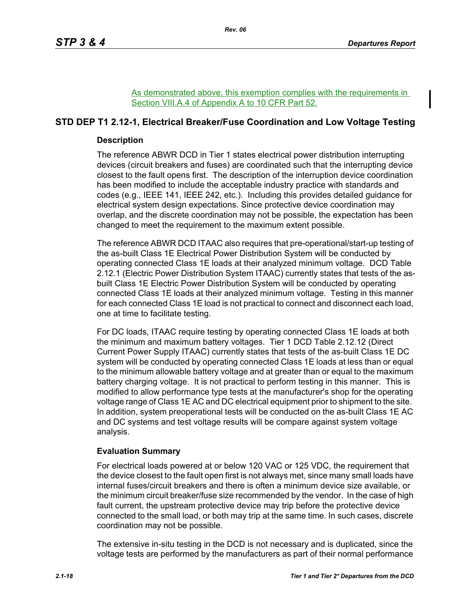As demonstrated above, this exemption complies with the requirements in Section VIII.A.4 of Appendix A to 10 CFR Part 52.

# **STD DEP T1 2.12-1, Electrical Breaker/Fuse Coordination and Low Voltage Testing**

## **Description**

The reference ABWR DCD in Tier 1 states electrical power distribution interrupting devices (circuit breakers and fuses) are coordinated such that the interrupting device closest to the fault opens first. The description of the interruption device coordination has been modified to include the acceptable industry practice with standards and codes (e.g., IEEE 141, IEEE 242, etc.). Including this provides detailed guidance for electrical system design expectations. Since protective device coordination may overlap, and the discrete coordination may not be possible, the expectation has been changed to meet the requirement to the maximum extent possible.

The reference ABWR DCD ITAAC also requires that pre-operational/start-up testing of the as-built Class 1E Electrical Power Distribution System will be conducted by operating connected Class 1E loads at their analyzed minimum voltage. DCD Table 2.12.1 (Electric Power Distribution System ITAAC) currently states that tests of the asbuilt Class 1E Electric Power Distribution System will be conducted by operating connected Class 1E loads at their analyzed minimum voltage. Testing in this manner for each connected Class 1E load is not practical to connect and disconnect each load, one at time to facilitate testing.

For DC loads, ITAAC require testing by operating connected Class 1E loads at both the minimum and maximum battery voltages. Tier 1 DCD Table 2.12.12 (Direct Current Power Supply ITAAC) currently states that tests of the as-built Class 1E DC system will be conducted by operating connected Class 1E loads at less than or equal to the minimum allowable battery voltage and at greater than or equal to the maximum battery charging voltage. It is not practical to perform testing in this manner. This is modified to allow performance type tests at the manufacturer's shop for the operating voltage range of Class 1E AC and DC electrical equipment prior to shipment to the site. In addition, system preoperational tests will be conducted on the as-built Class 1E AC and DC systems and test voltage results will be compare against system voltage analysis.

## **Evaluation Summary**

For electrical loads powered at or below 120 VAC or 125 VDC, the requirement that the device closest to the fault open first is not always met, since many small loads have internal fuses/circuit breakers and there is often a minimum device size available, or the minimum circuit breaker/fuse size recommended by the vendor. In the case of high fault current, the upstream protective device may trip before the protective device connected to the small load, or both may trip at the same time. In such cases, discrete coordination may not be possible.

The extensive in-situ testing in the DCD is not necessary and is duplicated, since the voltage tests are performed by the manufacturers as part of their normal performance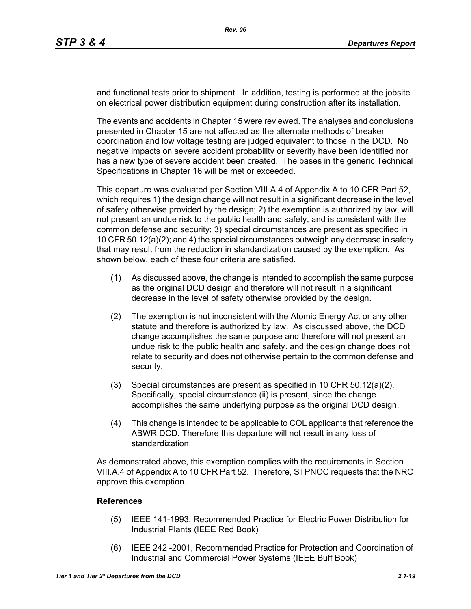and functional tests prior to shipment. In addition, testing is performed at the jobsite on electrical power distribution equipment during construction after its installation.

The events and accidents in Chapter 15 were reviewed. The analyses and conclusions presented in Chapter 15 are not affected as the alternate methods of breaker coordination and low voltage testing are judged equivalent to those in the DCD. No negative impacts on severe accident probability or severity have been identified nor has a new type of severe accident been created. The bases in the generic Technical Specifications in Chapter 16 will be met or exceeded.

This departure was evaluated per Section VIII.A.4 of Appendix A to 10 CFR Part 52, which requires 1) the design change will not result in a significant decrease in the level of safety otherwise provided by the design; 2) the exemption is authorized by law, will not present an undue risk to the public health and safety, and is consistent with the common defense and security; 3) special circumstances are present as specified in 10 CFR 50.12(a)(2); and 4) the special circumstances outweigh any decrease in safety that may result from the reduction in standardization caused by the exemption. As shown below, each of these four criteria are satisfied.

- (1) As discussed above, the change is intended to accomplish the same purpose as the original DCD design and therefore will not result in a significant decrease in the level of safety otherwise provided by the design.
- (2) The exemption is not inconsistent with the Atomic Energy Act or any other statute and therefore is authorized by law. As discussed above, the DCD change accomplishes the same purpose and therefore will not present an undue risk to the public health and safety. and the design change does not relate to security and does not otherwise pertain to the common defense and security.
- (3) Special circumstances are present as specified in 10 CFR 50.12(a)(2). Specifically, special circumstance (ii) is present, since the change accomplishes the same underlying purpose as the original DCD design.
- (4) This change is intended to be applicable to COL applicants that reference the ABWR DCD. Therefore this departure will not result in any loss of standardization.

As demonstrated above, this exemption complies with the requirements in Section VIII.A.4 of Appendix A to 10 CFR Part 52. Therefore, STPNOC requests that the NRC approve this exemption.

## **References**

- (5) IEEE 141-1993, Recommended Practice for Electric Power Distribution for Industrial Plants (IEEE Red Book)
- (6) IEEE 242 -2001, Recommended Practice for Protection and Coordination of Industrial and Commercial Power Systems (IEEE Buff Book)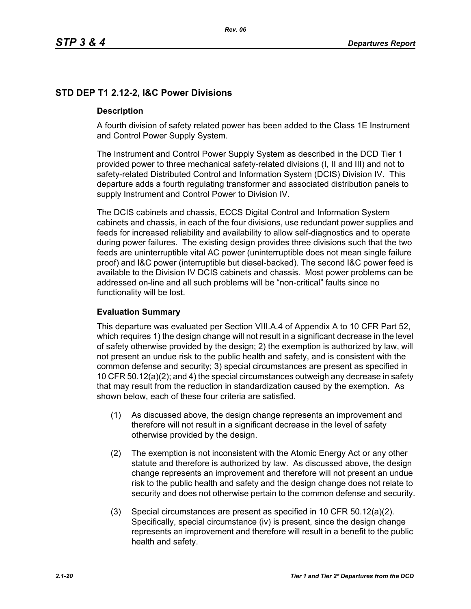# **STD DEP T1 2.12-2, I&C Power Divisions**

## **Description**

A fourth division of safety related power has been added to the Class 1E Instrument and Control Power Supply System.

The Instrument and Control Power Supply System as described in the DCD Tier 1 provided power to three mechanical safety-related divisions (I, II and III) and not to safety-related Distributed Control and Information System (DCIS) Division IV. This departure adds a fourth regulating transformer and associated distribution panels to supply Instrument and Control Power to Division IV.

The DCIS cabinets and chassis, ECCS Digital Control and Information System cabinets and chassis, in each of the four divisions, use redundant power supplies and feeds for increased reliability and availability to allow self-diagnostics and to operate during power failures. The existing design provides three divisions such that the two feeds are uninterruptible vital AC power (uninterruptible does not mean single failure proof) and I&C power (interruptible but diesel-backed). The second I&C power feed is available to the Division IV DCIS cabinets and chassis. Most power problems can be addressed on-line and all such problems will be "non-critical" faults since no functionality will be lost.

## **Evaluation Summary**

This departure was evaluated per Section VIII.A.4 of Appendix A to 10 CFR Part 52, which requires 1) the design change will not result in a significant decrease in the level of safety otherwise provided by the design; 2) the exemption is authorized by law, will not present an undue risk to the public health and safety, and is consistent with the common defense and security; 3) special circumstances are present as specified in 10 CFR 50.12(a)(2); and 4) the special circumstances outweigh any decrease in safety that may result from the reduction in standardization caused by the exemption. As shown below, each of these four criteria are satisfied.

- (1) As discussed above, the design change represents an improvement and therefore will not result in a significant decrease in the level of safety otherwise provided by the design.
- (2) The exemption is not inconsistent with the Atomic Energy Act or any other statute and therefore is authorized by law. As discussed above, the design change represents an improvement and therefore will not present an undue risk to the public health and safety and the design change does not relate to security and does not otherwise pertain to the common defense and security.
- (3) Special circumstances are present as specified in 10 CFR 50.12(a)(2). Specifically, special circumstance (iv) is present, since the design change represents an improvement and therefore will result in a benefit to the public health and safety.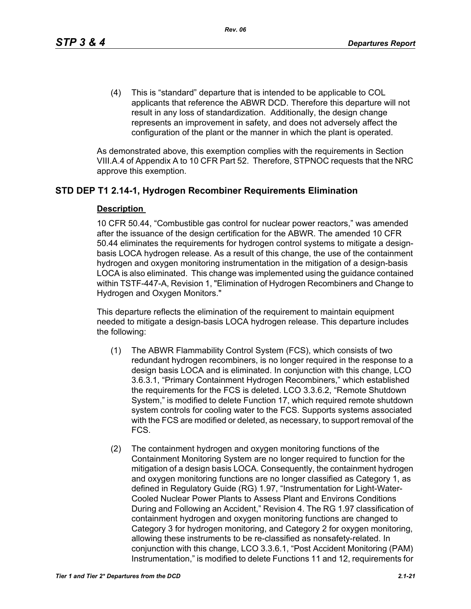(4) This is "standard" departure that is intended to be applicable to COL applicants that reference the ABWR DCD. Therefore this departure will not result in any loss of standardization. Additionally, the design change represents an improvement in safety, and does not adversely affect the configuration of the plant or the manner in which the plant is operated.

As demonstrated above, this exemption complies with the requirements in Section VIII.A.4 of Appendix A to 10 CFR Part 52. Therefore, STPNOC requests that the NRC approve this exemption.

## **STD DEP T1 2.14-1, Hydrogen Recombiner Requirements Elimination**

#### **Description**

10 CFR 50.44, "Combustible gas control for nuclear power reactors," was amended after the issuance of the design certification for the ABWR. The amended 10 CFR 50.44 eliminates the requirements for hydrogen control systems to mitigate a designbasis LOCA hydrogen release. As a result of this change, the use of the containment hydrogen and oxygen monitoring instrumentation in the mitigation of a design-basis LOCA is also eliminated. This change was implemented using the guidance contained within TSTF-447-A, Revision 1, "Elimination of Hydrogen Recombiners and Change to Hydrogen and Oxygen Monitors."

This departure reflects the elimination of the requirement to maintain equipment needed to mitigate a design-basis LOCA hydrogen release. This departure includes the following:

- (1) The ABWR Flammability Control System (FCS), which consists of two redundant hydrogen recombiners, is no longer required in the response to a design basis LOCA and is eliminated. In conjunction with this change, LCO 3.6.3.1, "Primary Containment Hydrogen Recombiners," which established the requirements for the FCS is deleted. LCO 3.3.6.2, "Remote Shutdown System," is modified to delete Function 17, which required remote shutdown system controls for cooling water to the FCS. Supports systems associated with the FCS are modified or deleted, as necessary, to support removal of the FCS.
- (2) The containment hydrogen and oxygen monitoring functions of the Containment Monitoring System are no longer required to function for the mitigation of a design basis LOCA. Consequently, the containment hydrogen and oxygen monitoring functions are no longer classified as Category 1, as defined in Regulatory Guide (RG) 1.97, "Instrumentation for Light-Water-Cooled Nuclear Power Plants to Assess Plant and Environs Conditions During and Following an Accident," Revision 4. The RG 1.97 classification of containment hydrogen and oxygen monitoring functions are changed to Category 3 for hydrogen monitoring, and Category 2 for oxygen monitoring, allowing these instruments to be re-classified as nonsafety-related. In conjunction with this change, LCO 3.3.6.1, "Post Accident Monitoring (PAM) Instrumentation," is modified to delete Functions 11 and 12, requirements for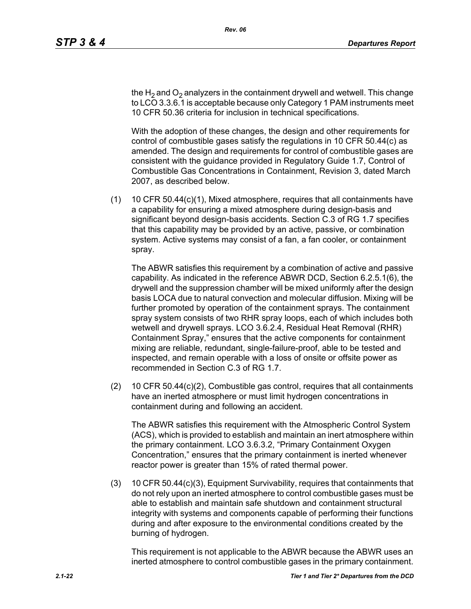the H<sub>2</sub> and O<sub>2</sub> analyzers in the containment drywell and wetwell. This change to LCO 3.3.6.1 is acceptable because only Category 1 PAM instruments meet 10 CFR 50.36 criteria for inclusion in technical specifications.

With the adoption of these changes, the design and other requirements for control of combustible gases satisfy the regulations in 10 CFR 50.44(c) as amended. The design and requirements for control of combustible gases are consistent with the guidance provided in Regulatory Guide 1.7, Control of Combustible Gas Concentrations in Containment, Revision 3, dated March 2007, as described below.

(1) 10 CFR 50.44(c)(1), Mixed atmosphere, requires that all containments have a capability for ensuring a mixed atmosphere during design-basis and significant beyond design-basis accidents. Section C.3 of RG 1.7 specifies that this capability may be provided by an active, passive, or combination system. Active systems may consist of a fan, a fan cooler, or containment spray.

The ABWR satisfies this requirement by a combination of active and passive capability. As indicated in the reference ABWR DCD, Section 6.2.5.1(6), the drywell and the suppression chamber will be mixed uniformly after the design basis LOCA due to natural convection and molecular diffusion. Mixing will be further promoted by operation of the containment sprays. The containment spray system consists of two RHR spray loops, each of which includes both wetwell and drywell sprays. LCO 3.6.2.4, Residual Heat Removal (RHR) Containment Spray," ensures that the active components for containment mixing are reliable, redundant, single-failure-proof, able to be tested and inspected, and remain operable with a loss of onsite or offsite power as recommended in Section C.3 of RG 1.7.

(2) 10 CFR 50.44(c)(2), Combustible gas control, requires that all containments have an inerted atmosphere or must limit hydrogen concentrations in containment during and following an accident.

The ABWR satisfies this requirement with the Atmospheric Control System (ACS), which is provided to establish and maintain an inert atmosphere within the primary containment. LCO 3.6.3.2, "Primary Containment Oxygen Concentration," ensures that the primary containment is inerted whenever reactor power is greater than 15% of rated thermal power.

(3) 10 CFR 50.44(c)(3), Equipment Survivability, requires that containments that do not rely upon an inerted atmosphere to control combustible gases must be able to establish and maintain safe shutdown and containment structural integrity with systems and components capable of performing their functions during and after exposure to the environmental conditions created by the burning of hydrogen.

This requirement is not applicable to the ABWR because the ABWR uses an inerted atmosphere to control combustible gases in the primary containment.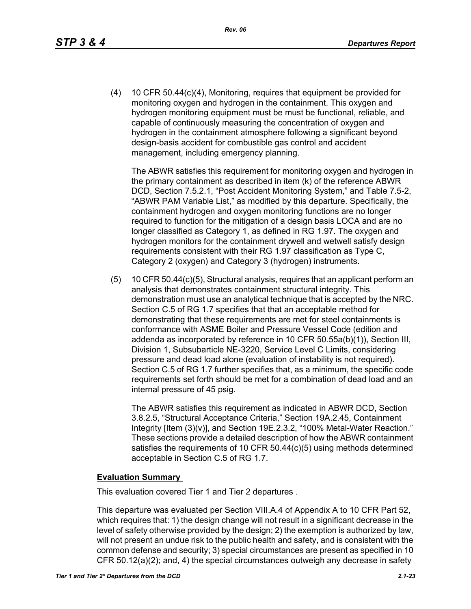(4) 10 CFR 50.44(c)(4), Monitoring, requires that equipment be provided for monitoring oxygen and hydrogen in the containment. This oxygen and hydrogen monitoring equipment must be must be functional, reliable, and capable of continuously measuring the concentration of oxygen and hydrogen in the containment atmosphere following a significant beyond design-basis accident for combustible gas control and accident management, including emergency planning.

The ABWR satisfies this requirement for monitoring oxygen and hydrogen in the primary containment as described in item (k) of the reference ABWR DCD, Section 7.5.2.1, "Post Accident Monitoring System," and Table 7.5-2, "ABWR PAM Variable List," as modified by this departure. Specifically, the containment hydrogen and oxygen monitoring functions are no longer required to function for the mitigation of a design basis LOCA and are no longer classified as Category 1, as defined in RG 1.97. The oxygen and hydrogen monitors for the containment drywell and wetwell satisfy design requirements consistent with their RG 1.97 classification as Type C, Category 2 (oxygen) and Category 3 (hydrogen) instruments.

(5) 10 CFR 50.44(c)(5), Structural analysis, requires that an applicant perform an analysis that demonstrates containment structural integrity. This demonstration must use an analytical technique that is accepted by the NRC. Section C.5 of RG 1.7 specifies that that an acceptable method for demonstrating that these requirements are met for steel containments is conformance with ASME Boiler and Pressure Vessel Code (edition and addenda as incorporated by reference in 10 CFR 50.55a(b)(1)), Section III, Division 1, Subsubarticle NE-3220, Service Level C Limits, considering pressure and dead load alone (evaluation of instability is not required). Section C.5 of RG 1.7 further specifies that, as a minimum, the specific code requirements set forth should be met for a combination of dead load and an internal pressure of 45 psig.

The ABWR satisfies this requirement as indicated in ABWR DCD, Section 3.8.2.5, "Structural Acceptance Criteria," Section 19A.2.45, Containment Integrity [Item (3)(v)], and Section 19E.2.3.2, "100% Metal-Water Reaction." These sections provide a detailed description of how the ABWR containment satisfies the requirements of 10 CFR 50.44(c)(5) using methods determined acceptable in Section C.5 of RG 1.7.

#### **Evaluation Summary**

This evaluation covered Tier 1 and Tier 2 departures .

This departure was evaluated per Section VIII.A.4 of Appendix A to 10 CFR Part 52, which requires that: 1) the design change will not result in a significant decrease in the level of safety otherwise provided by the design; 2) the exemption is authorized by law, will not present an undue risk to the public health and safety, and is consistent with the common defense and security; 3) special circumstances are present as specified in 10 CFR 50.12(a)(2); and, 4) the special circumstances outweigh any decrease in safety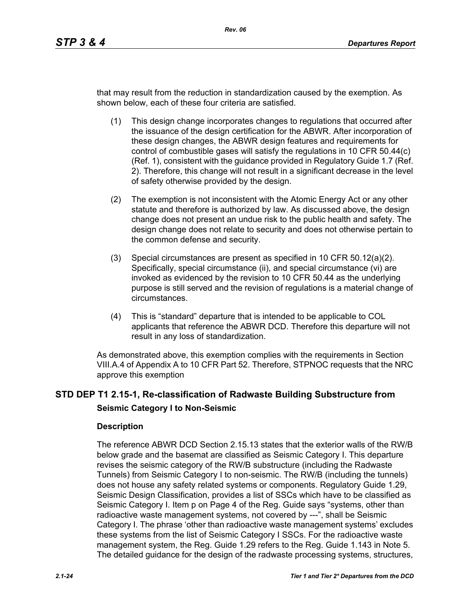that may result from the reduction in standardization caused by the exemption. As shown below, each of these four criteria are satisfied.

- (1) This design change incorporates changes to regulations that occurred after the issuance of the design certification for the ABWR. After incorporation of these design changes, the ABWR design features and requirements for control of combustible gases will satisfy the regulations in 10 CFR 50.44(c) (Ref. 1), consistent with the guidance provided in Regulatory Guide 1.7 (Ref. 2). Therefore, this change will not result in a significant decrease in the level of safety otherwise provided by the design.
- (2) The exemption is not inconsistent with the Atomic Energy Act or any other statute and therefore is authorized by law. As discussed above, the design change does not present an undue risk to the public health and safety. The design change does not relate to security and does not otherwise pertain to the common defense and security.
- (3) Special circumstances are present as specified in 10 CFR 50.12(a)(2). Specifically, special circumstance (ii), and special circumstance (vi) are invoked as evidenced by the revision to 10 CFR 50.44 as the underlying purpose is still served and the revision of regulations is a material change of circumstances.
- (4) This is "standard" departure that is intended to be applicable to COL applicants that reference the ABWR DCD. Therefore this departure will not result in any loss of standardization.

As demonstrated above, this exemption complies with the requirements in Section VIII.A.4 of Appendix A to 10 CFR Part 52. Therefore, STPNOC requests that the NRC approve this exemption

# **STD DEP T1 2.15-1, Re-classification of Radwaste Building Substructure from Seismic Category I to Non-Seismic**

## **Description**

The reference ABWR DCD Section 2.15.13 states that the exterior walls of the RW/B below grade and the basemat are classified as Seismic Category I. This departure revises the seismic category of the RW/B substructure (including the Radwaste Tunnels) from Seismic Category I to non-seismic. The RW/B (including the tunnels) does not house any safety related systems or components. Regulatory Guide 1.29, Seismic Design Classification, provides a list of SSCs which have to be classified as Seismic Category I. Item p on Page 4 of the Reg. Guide says "systems, other than radioactive waste management systems, not covered by ---", shall be Seismic Category I. The phrase 'other than radioactive waste management systems' excludes these systems from the list of Seismic Category I SSCs. For the radioactive waste management system, the Reg. Guide 1.29 refers to the Reg. Guide 1.143 in Note 5. The detailed guidance for the design of the radwaste processing systems, structures,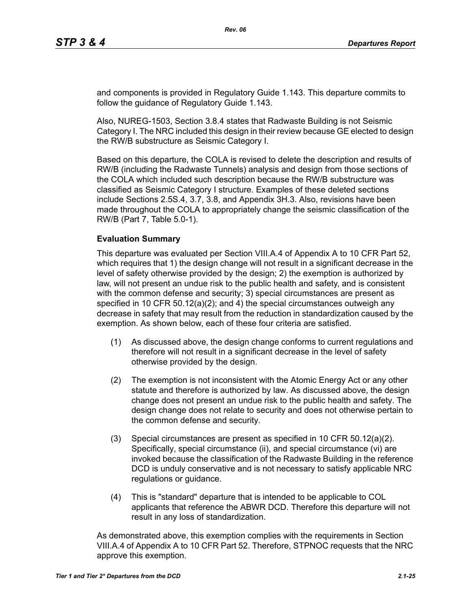and components is provided in Regulatory Guide 1.143. This departure commits to follow the guidance of Regulatory Guide 1.143.

Also, NUREG-1503, Section 3.8.4 states that Radwaste Building is not Seismic Category I. The NRC included this design in their review because GE elected to design the RW/B substructure as Seismic Category I.

Based on this departure, the COLA is revised to delete the description and results of RW/B (including the Radwaste Tunnels) analysis and design from those sections of the COLA which included such description because the RW/B substructure was classified as Seismic Category I structure. Examples of these deleted sections include Sections 2.5S.4, 3.7, 3.8, and Appendix 3H.3. Also, revisions have been made throughout the COLA to appropriately change the seismic classification of the RW/B (Part 7, Table 5.0-1).

#### **Evaluation Summary**

This departure was evaluated per Section VIII.A.4 of Appendix A to 10 CFR Part 52, which requires that 1) the design change will not result in a significant decrease in the level of safety otherwise provided by the design; 2) the exemption is authorized by law, will not present an undue risk to the public health and safety, and is consistent with the common defense and security; 3) special circumstances are present as specified in 10 CFR 50.12(a)(2); and 4) the special circumstances outweigh any decrease in safety that may result from the reduction in standardization caused by the exemption. As shown below, each of these four criteria are satisfied.

- (1) As discussed above, the design change conforms to current regulations and therefore will not result in a significant decrease in the level of safety otherwise provided by the design.
- (2) The exemption is not inconsistent with the Atomic Energy Act or any other statute and therefore is authorized by law. As discussed above, the design change does not present an undue risk to the public health and safety. The design change does not relate to security and does not otherwise pertain to the common defense and security.
- (3) Special circumstances are present as specified in 10 CFR 50.12(a)(2). Specifically, special circumstance (ii), and special circumstance (vi) are invoked because the classification of the Radwaste Building in the reference DCD is unduly conservative and is not necessary to satisfy applicable NRC regulations or guidance.
- (4) This is "standard" departure that is intended to be applicable to COL applicants that reference the ABWR DCD. Therefore this departure will not result in any loss of standardization.

As demonstrated above, this exemption complies with the requirements in Section VIII.A.4 of Appendix A to 10 CFR Part 52. Therefore, STPNOC requests that the NRC approve this exemption.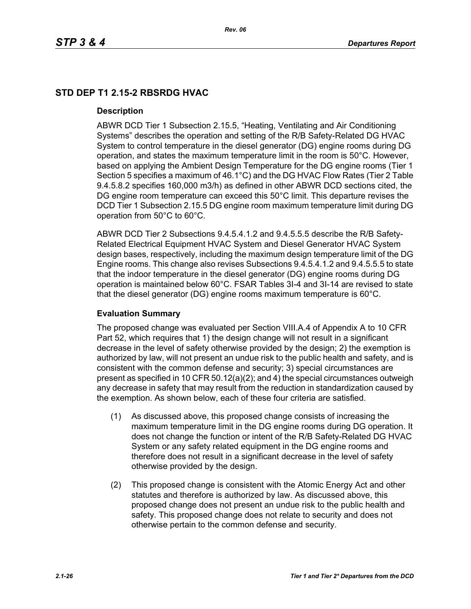# **STD DEP T1 2.15-2 RBSRDG HVAC**

## **Description**

ABWR DCD Tier 1 Subsection 2.15.5, "Heating, Ventilating and Air Conditioning Systems" describes the operation and setting of the R/B Safety-Related DG HVAC System to control temperature in the diesel generator (DG) engine rooms during DG operation, and states the maximum temperature limit in the room is 50°C. However, based on applying the Ambient Design Temperature for the DG engine rooms (Tier 1 Section 5 specifies a maximum of 46.1°C) and the DG HVAC Flow Rates (Tier 2 Table 9.4.5.8.2 specifies 160,000 m3/h) as defined in other ABWR DCD sections cited, the DG engine room temperature can exceed this 50°C limit. This departure revises the DCD Tier 1 Subsection 2.15.5 DG engine room maximum temperature limit during DG operation from 50°C to 60°C.

ABWR DCD Tier 2 Subsections 9.4.5.4.1.2 and 9.4.5.5.5 describe the R/B Safety-Related Electrical Equipment HVAC System and Diesel Generator HVAC System design bases, respectively, including the maximum design temperature limit of the DG Engine rooms. This change also revises Subsections 9.4.5.4.1.2 and 9.4.5.5.5 to state that the indoor temperature in the diesel generator (DG) engine rooms during DG operation is maintained below 60°C. FSAR Tables 3I-4 and 3I-14 are revised to state that the diesel generator (DG) engine rooms maximum temperature is 60°C.

## **Evaluation Summary**

The proposed change was evaluated per Section VIII.A.4 of Appendix A to 10 CFR Part 52, which requires that 1) the design change will not result in a significant decrease in the level of safety otherwise provided by the design; 2) the exemption is authorized by law, will not present an undue risk to the public health and safety, and is consistent with the common defense and security; 3) special circumstances are present as specified in 10 CFR 50.12(a)(2); and 4) the special circumstances outweigh any decrease in safety that may result from the reduction in standardization caused by the exemption. As shown below, each of these four criteria are satisfied.

- (1) As discussed above, this proposed change consists of increasing the maximum temperature limit in the DG engine rooms during DG operation. It does not change the function or intent of the R/B Safety-Related DG HVAC System or any safety related equipment in the DG engine rooms and therefore does not result in a significant decrease in the level of safety otherwise provided by the design.
- (2) This proposed change is consistent with the Atomic Energy Act and other statutes and therefore is authorized by law. As discussed above, this proposed change does not present an undue risk to the public health and safety. This proposed change does not relate to security and does not otherwise pertain to the common defense and security.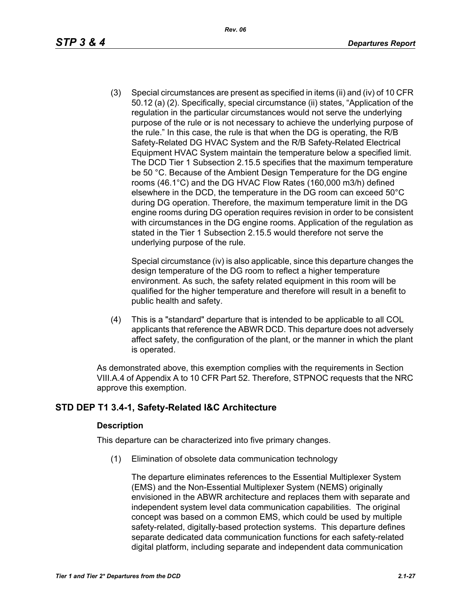(3) Special circumstances are present as specified in items (ii) and (iv) of 10 CFR 50.12 (a) (2). Specifically, special circumstance (ii) states, "Application of the regulation in the particular circumstances would not serve the underlying purpose of the rule or is not necessary to achieve the underlying purpose of the rule." In this case, the rule is that when the DG is operating, the R/B Safety-Related DG HVAC System and the R/B Safety-Related Electrical Equipment HVAC System maintain the temperature below a specified limit. The DCD Tier 1 Subsection 2.15.5 specifies that the maximum temperature be 50 °C. Because of the Ambient Design Temperature for the DG engine rooms (46.1°C) and the DG HVAC Flow Rates (160,000 m3/h) defined elsewhere in the DCD, the temperature in the DG room can exceed 50°C during DG operation. Therefore, the maximum temperature limit in the DG engine rooms during DG operation requires revision in order to be consistent with circumstances in the DG engine rooms. Application of the regulation as stated in the Tier 1 Subsection 2.15.5 would therefore not serve the underlying purpose of the rule.

Special circumstance (iv) is also applicable, since this departure changes the design temperature of the DG room to reflect a higher temperature environment. As such, the safety related equipment in this room will be qualified for the higher temperature and therefore will result in a benefit to public health and safety.

(4) This is a "standard" departure that is intended to be applicable to all COL applicants that reference the ABWR DCD. This departure does not adversely affect safety, the configuration of the plant, or the manner in which the plant is operated.

As demonstrated above, this exemption complies with the requirements in Section VIII.A.4 of Appendix A to 10 CFR Part 52. Therefore, STPNOC requests that the NRC approve this exemption.

# **STD DEP T1 3.4-1, Safety-Related I&C Architecture**

## **Description**

This departure can be characterized into five primary changes.

(1) Elimination of obsolete data communication technology

The departure eliminates references to the Essential Multiplexer System (EMS) and the Non-Essential Multiplexer System (NEMS) originally envisioned in the ABWR architecture and replaces them with separate and independent system level data communication capabilities. The original concept was based on a common EMS, which could be used by multiple safety-related, digitally-based protection systems. This departure defines separate dedicated data communication functions for each safety-related digital platform, including separate and independent data communication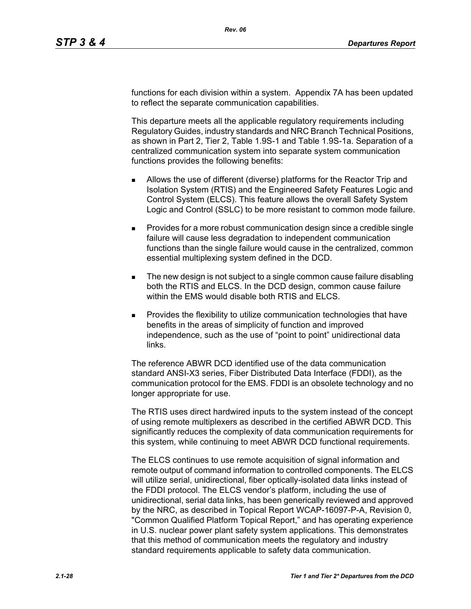functions for each division within a system. Appendix 7A has been updated to reflect the separate communication capabilities.

This departure meets all the applicable regulatory requirements including Regulatory Guides, industry standards and NRC Branch Technical Positions, as shown in Part 2, Tier 2, Table 1.9S-1 and Table 1.9S-1a. Separation of a centralized communication system into separate system communication functions provides the following benefits:

- Allows the use of different (diverse) platforms for the Reactor Trip and Isolation System (RTIS) and the Engineered Safety Features Logic and Control System (ELCS). This feature allows the overall Safety System Logic and Control (SSLC) to be more resistant to common mode failure.
- **Provides for a more robust communication design since a credible single** failure will cause less degradation to independent communication functions than the single failure would cause in the centralized, common essential multiplexing system defined in the DCD.
- The new design is not subject to a single common cause failure disabling both the RTIS and ELCS. In the DCD design, common cause failure within the EMS would disable both RTIS and ELCS.
- Provides the flexibility to utilize communication technologies that have benefits in the areas of simplicity of function and improved independence, such as the use of "point to point" unidirectional data links.

The reference ABWR DCD identified use of the data communication standard ANSI-X3 series, Fiber Distributed Data Interface (FDDI), as the communication protocol for the EMS. FDDI is an obsolete technology and no longer appropriate for use.

The RTIS uses direct hardwired inputs to the system instead of the concept of using remote multiplexers as described in the certified ABWR DCD. This significantly reduces the complexity of data communication requirements for this system, while continuing to meet ABWR DCD functional requirements.

The ELCS continues to use remote acquisition of signal information and remote output of command information to controlled components. The ELCS will utilize serial, unidirectional, fiber optically-isolated data links instead of the FDDI protocol. The ELCS vendor's platform, including the use of unidirectional, serial data links, has been generically reviewed and approved by the NRC, as described in Topical Report WCAP-16097-P-A, Revision 0, "Common Qualified Platform Topical Report," and has operating experience in U.S. nuclear power plant safety system applications. This demonstrates that this method of communication meets the regulatory and industry standard requirements applicable to safety data communication.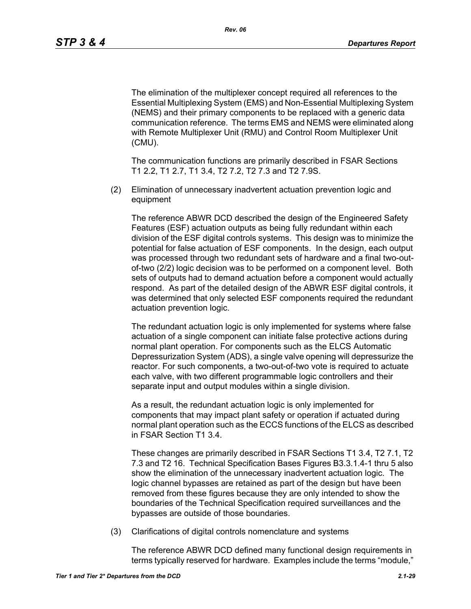The elimination of the multiplexer concept required all references to the Essential Multiplexing System (EMS) and Non-Essential Multiplexing System (NEMS) and their primary components to be replaced with a generic data communication reference. The terms EMS and NEMS were eliminated along with Remote Multiplexer Unit (RMU) and Control Room Multiplexer Unit (CMU).

The communication functions are primarily described in FSAR Sections T1 2.2, T1 2.7, T1 3.4, T2 7.2, T2 7.3 and T2 7.9S.

(2) Elimination of unnecessary inadvertent actuation prevention logic and equipment

The reference ABWR DCD described the design of the Engineered Safety Features (ESF) actuation outputs as being fully redundant within each division of the ESF digital controls systems. This design was to minimize the potential for false actuation of ESF components. In the design, each output was processed through two redundant sets of hardware and a final two-outof-two (2/2) logic decision was to be performed on a component level. Both sets of outputs had to demand actuation before a component would actually respond. As part of the detailed design of the ABWR ESF digital controls, it was determined that only selected ESF components required the redundant actuation prevention logic.

The redundant actuation logic is only implemented for systems where false actuation of a single component can initiate false protective actions during normal plant operation. For components such as the ELCS Automatic Depressurization System (ADS), a single valve opening will depressurize the reactor. For such components, a two-out-of-two vote is required to actuate each valve, with two different programmable logic controllers and their separate input and output modules within a single division.

As a result, the redundant actuation logic is only implemented for components that may impact plant safety or operation if actuated during normal plant operation such as the ECCS functions of the ELCS as described in FSAR Section T1 3.4.

These changes are primarily described in FSAR Sections T1 3.4, T2 7.1, T2 7.3 and T2 16. Technical Specification Bases Figures B3.3.1.4-1 thru 5 also show the elimination of the unnecessary inadvertent actuation logic. The logic channel bypasses are retained as part of the design but have been removed from these figures because they are only intended to show the boundaries of the Technical Specification required surveillances and the bypasses are outside of those boundaries.

(3) Clarifications of digital controls nomenclature and systems

The reference ABWR DCD defined many functional design requirements in terms typically reserved for hardware. Examples include the terms "module,"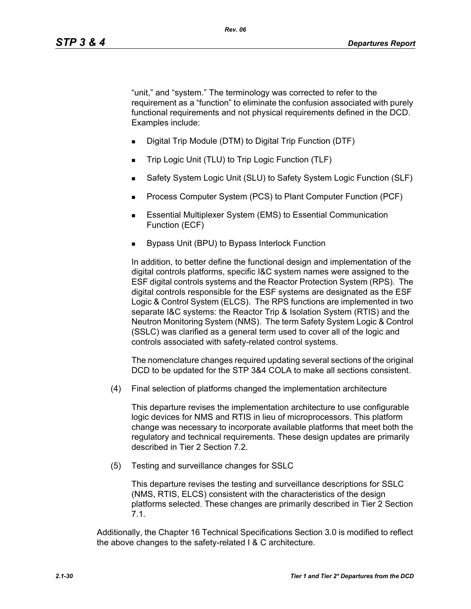"unit," and "system." The terminology was corrected to refer to the requirement as a "function" to eliminate the confusion associated with purely functional requirements and not physical requirements defined in the DCD. Examples include:

- Digital Trip Module (DTM) to Digital Trip Function (DTF)
- Trip Logic Unit (TLU) to Trip Logic Function (TLF)
- Safety System Logic Unit (SLU) to Safety System Logic Function (SLF)
- Process Computer System (PCS) to Plant Computer Function (PCF)
- **Essential Multiplexer System (EMS) to Essential Communication** Function (ECF)
- Bypass Unit (BPU) to Bypass Interlock Function

In addition, to better define the functional design and implementation of the digital controls platforms, specific I&C system names were assigned to the ESF digital controls systems and the Reactor Protection System (RPS). The digital controls responsible for the ESF systems are designated as the ESF Logic & Control System (ELCS). The RPS functions are implemented in two separate I&C systems: the Reactor Trip & Isolation System (RTIS) and the Neutron Monitoring System (NMS). The term Safety System Logic & Control (SSLC) was clarified as a general term used to cover all of the logic and controls associated with safety-related control systems.

The nomenclature changes required updating several sections of the original DCD to be updated for the STP 3&4 COLA to make all sections consistent.

(4) Final selection of platforms changed the implementation architecture

This departure revises the implementation architecture to use configurable logic devices for NMS and RTIS in lieu of microprocessors. This platform change was necessary to incorporate available platforms that meet both the regulatory and technical requirements. These design updates are primarily described in Tier 2 Section 7.2.

(5) Testing and surveillance changes for SSLC

This departure revises the testing and surveillance descriptions for SSLC (NMS, RTIS, ELCS) consistent with the characteristics of the design platforms selected. These changes are primarily described in Tier 2 Section 7.1.

Additionally, the Chapter 16 Technical Specifications Section 3.0 is modified to reflect the above changes to the safety-related I & C architecture.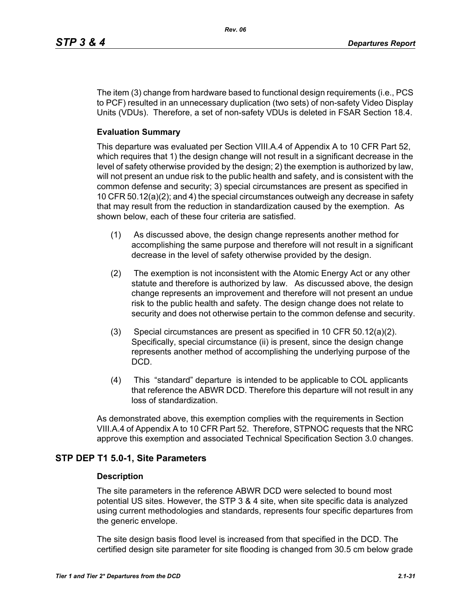The item (3) change from hardware based to functional design requirements (i.e., PCS to PCF) resulted in an unnecessary duplication (two sets) of non-safety Video Display Units (VDUs). Therefore, a set of non-safety VDUs is deleted in FSAR Section 18.4.

#### **Evaluation Summary**

This departure was evaluated per Section VIII.A.4 of Appendix A to 10 CFR Part 52, which requires that 1) the design change will not result in a significant decrease in the level of safety otherwise provided by the design; 2) the exemption is authorized by law, will not present an undue risk to the public health and safety, and is consistent with the common defense and security; 3) special circumstances are present as specified in 10 CFR 50.12(a)(2); and 4) the special circumstances outweigh any decrease in safety that may result from the reduction in standardization caused by the exemption. As shown below, each of these four criteria are satisfied.

- (1) As discussed above, the design change represents another method for accomplishing the same purpose and therefore will not result in a significant decrease in the level of safety otherwise provided by the design.
- (2) The exemption is not inconsistent with the Atomic Energy Act or any other statute and therefore is authorized by law. As discussed above, the design change represents an improvement and therefore will not present an undue risk to the public health and safety. The design change does not relate to security and does not otherwise pertain to the common defense and security.
- (3) Special circumstances are present as specified in 10 CFR 50.12(a)(2). Specifically, special circumstance (ii) is present, since the design change represents another method of accomplishing the underlying purpose of the DCD.
- (4) This "standard" departure is intended to be applicable to COL applicants that reference the ABWR DCD. Therefore this departure will not result in any loss of standardization.

As demonstrated above, this exemption complies with the requirements in Section VIII.A.4 of Appendix A to 10 CFR Part 52. Therefore, STPNOC requests that the NRC approve this exemption and associated Technical Specification Section 3.0 changes.

#### **STP DEP T1 5.0-1, Site Parameters**

#### **Description**

The site parameters in the reference ABWR DCD were selected to bound most potential US sites. However, the STP 3 & 4 site, when site specific data is analyzed using current methodologies and standards, represents four specific departures from the generic envelope.

The site design basis flood level is increased from that specified in the DCD. The certified design site parameter for site flooding is changed from 30.5 cm below grade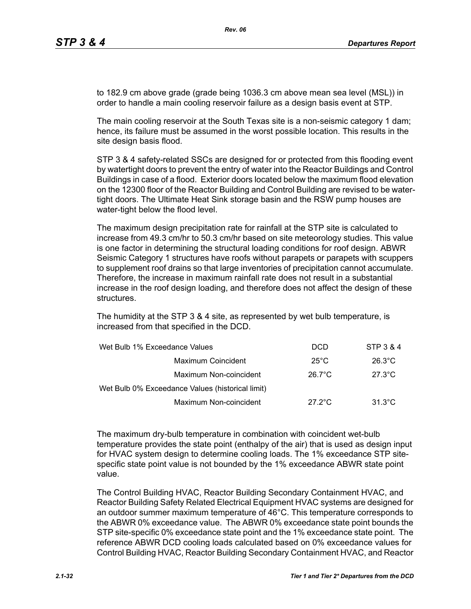to 182.9 cm above grade (grade being 1036.3 cm above mean sea level (MSL)) in order to handle a main cooling reservoir failure as a design basis event at STP.

The main cooling reservoir at the South Texas site is a non-seismic category 1 dam; hence, its failure must be assumed in the worst possible location. This results in the site design basis flood.

STP 3 & 4 safety-related SSCs are designed for or protected from this flooding event by watertight doors to prevent the entry of water into the Reactor Buildings and Control Buildings in case of a flood. Exterior doors located below the maximum flood elevation on the 12300 floor of the Reactor Building and Control Building are revised to be watertight doors. The Ultimate Heat Sink storage basin and the RSW pump houses are water-tight below the flood level.

The maximum design precipitation rate for rainfall at the STP site is calculated to increase from 49.3 cm/hr to 50.3 cm/hr based on site meteorology studies. This value is one factor in determining the structural loading conditions for roof design. ABWR Seismic Category 1 structures have roofs without parapets or parapets with scuppers to supplement roof drains so that large inventories of precipitation cannot accumulate. Therefore, the increase in maximum rainfall rate does not result in a substantial increase in the roof design loading, and therefore does not affect the design of these structures.

The humidity at the STP 3 & 4 site, as represented by wet bulb temperature, is increased from that specified in the DCD.

| Wet Bulb 1% Exceedance Values                    | <b>DCD</b>       | STP 3 & 4        |
|--------------------------------------------------|------------------|------------------|
| Maximum Coincident                               | $25^{\circ}$ C   | $26.3^{\circ}$ C |
| Maximum Non-coincident                           | $26.7^{\circ}$ C | $27.3^{\circ}$ C |
| Wet Bulb 0% Exceedance Values (historical limit) |                  |                  |
| Maximum Non-coincident                           | $27.2^{\circ}$ C | $31.3^{\circ}$ C |

The maximum dry-bulb temperature in combination with coincident wet-bulb temperature provides the state point (enthalpy of the air) that is used as design input for HVAC system design to determine cooling loads. The 1% exceedance STP sitespecific state point value is not bounded by the 1% exceedance ABWR state point value.

The Control Building HVAC, Reactor Building Secondary Containment HVAC, and Reactor Building Safety Related Electrical Equipment HVAC systems are designed for an outdoor summer maximum temperature of 46°C. This temperature corresponds to the ABWR 0% exceedance value. The ABWR 0% exceedance state point bounds the STP site-specific 0% exceedance state point and the 1% exceedance state point. The reference ABWR DCD cooling loads calculated based on 0% exceedance values for Control Building HVAC, Reactor Building Secondary Containment HVAC, and Reactor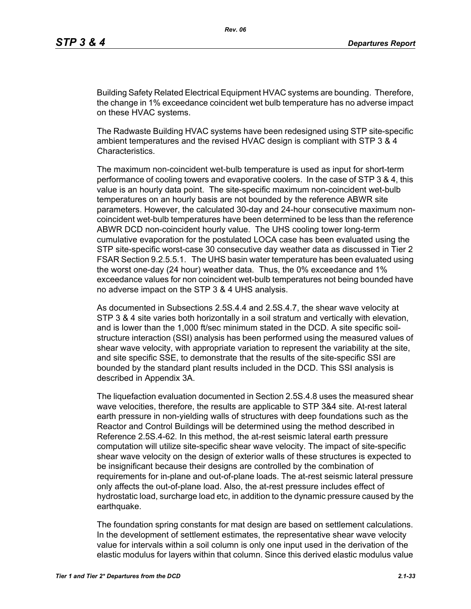Building Safety Related Electrical Equipment HVAC systems are bounding. Therefore, the change in 1% exceedance coincident wet bulb temperature has no adverse impact on these HVAC systems.

The Radwaste Building HVAC systems have been redesigned using STP site-specific ambient temperatures and the revised HVAC design is compliant with STP 3 & 4 Characteristics.

The maximum non-coincident wet-bulb temperature is used as input for short-term performance of cooling towers and evaporative coolers. In the case of STP 3 & 4, this value is an hourly data point. The site-specific maximum non-coincident wet-bulb temperatures on an hourly basis are not bounded by the reference ABWR site parameters. However, the calculated 30-day and 24-hour consecutive maximum noncoincident wet-bulb temperatures have been determined to be less than the reference ABWR DCD non-coincident hourly value. The UHS cooling tower long-term cumulative evaporation for the postulated LOCA case has been evaluated using the STP site-specific worst-case 30 consecutive day weather data as discussed in Tier 2 FSAR Section 9.2.5.5.1. The UHS basin water temperature has been evaluated using the worst one-day (24 hour) weather data. Thus, the 0% exceedance and 1% exceedance values for non coincident wet-bulb temperatures not being bounded have no adverse impact on the STP 3 & 4 UHS analysis.

As documented in Subsections 2.5S.4.4 and 2.5S.4.7, the shear wave velocity at STP 3 & 4 site varies both horizontally in a soil stratum and vertically with elevation, and is lower than the 1,000 ft/sec minimum stated in the DCD. A site specific soilstructure interaction (SSI) analysis has been performed using the measured values of shear wave velocity, with appropriate variation to represent the variability at the site, and site specific SSE, to demonstrate that the results of the site-specific SSI are bounded by the standard plant results included in the DCD. This SSI analysis is described in Appendix 3A.

The liquefaction evaluation documented in Section 2.5S.4.8 uses the measured shear wave velocities, therefore, the results are applicable to STP 3&4 site. At-rest lateral earth pressure in non-yielding walls of structures with deep foundations such as the Reactor and Control Buildings will be determined using the method described in Reference 2.5S.4-62. In this method, the at-rest seismic lateral earth pressure computation will utilize site-specific shear wave velocity. The impact of site-specific shear wave velocity on the design of exterior walls of these structures is expected to be insignificant because their designs are controlled by the combination of requirements for in-plane and out-of-plane loads. The at-rest seismic lateral pressure only affects the out-of-plane load. Also, the at-rest pressure includes effect of hydrostatic load, surcharge load etc, in addition to the dynamic pressure caused by the earthquake.

The foundation spring constants for mat design are based on settlement calculations. In the development of settlement estimates, the representative shear wave velocity value for intervals within a soil column is only one input used in the derivation of the elastic modulus for layers within that column. Since this derived elastic modulus value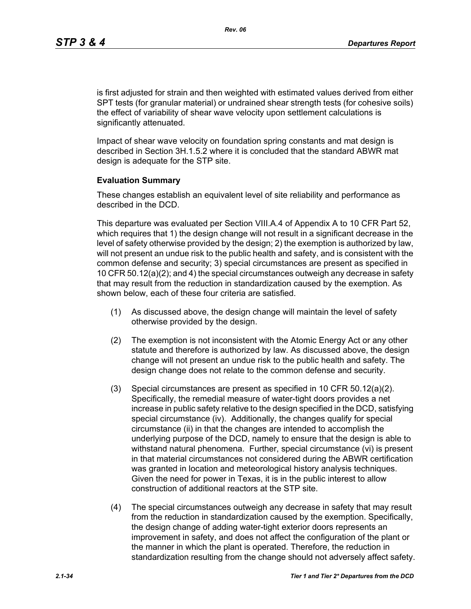is first adjusted for strain and then weighted with estimated values derived from either SPT tests (for granular material) or undrained shear strength tests (for cohesive soils) the effect of variability of shear wave velocity upon settlement calculations is significantly attenuated.

Impact of shear wave velocity on foundation spring constants and mat design is described in Section 3H.1.5.2 where it is concluded that the standard ABWR mat design is adequate for the STP site.

#### **Evaluation Summary**

These changes establish an equivalent level of site reliability and performance as described in the DCD.

This departure was evaluated per Section VIII.A.4 of Appendix A to 10 CFR Part 52, which requires that 1) the design change will not result in a significant decrease in the level of safety otherwise provided by the design; 2) the exemption is authorized by law, will not present an undue risk to the public health and safety, and is consistent with the common defense and security; 3) special circumstances are present as specified in 10 CFR 50.12(a)(2); and 4) the special circumstances outweigh any decrease in safety that may result from the reduction in standardization caused by the exemption. As shown below, each of these four criteria are satisfied.

- (1) As discussed above, the design change will maintain the level of safety otherwise provided by the design.
- (2) The exemption is not inconsistent with the Atomic Energy Act or any other statute and therefore is authorized by law. As discussed above, the design change will not present an undue risk to the public health and safety. The design change does not relate to the common defense and security.
- (3) Special circumstances are present as specified in 10 CFR 50.12(a)(2). Specifically, the remedial measure of water-tight doors provides a net increase in public safety relative to the design specified in the DCD, satisfying special circumstance (iv). Additionally, the changes qualify for special circumstance (ii) in that the changes are intended to accomplish the underlying purpose of the DCD, namely to ensure that the design is able to withstand natural phenomena. Further, special circumstance (vi) is present in that material circumstances not considered during the ABWR certification was granted in location and meteorological history analysis techniques. Given the need for power in Texas, it is in the public interest to allow construction of additional reactors at the STP site.
- (4) The special circumstances outweigh any decrease in safety that may result from the reduction in standardization caused by the exemption. Specifically, the design change of adding water-tight exterior doors represents an improvement in safety, and does not affect the configuration of the plant or the manner in which the plant is operated. Therefore, the reduction in standardization resulting from the change should not adversely affect safety.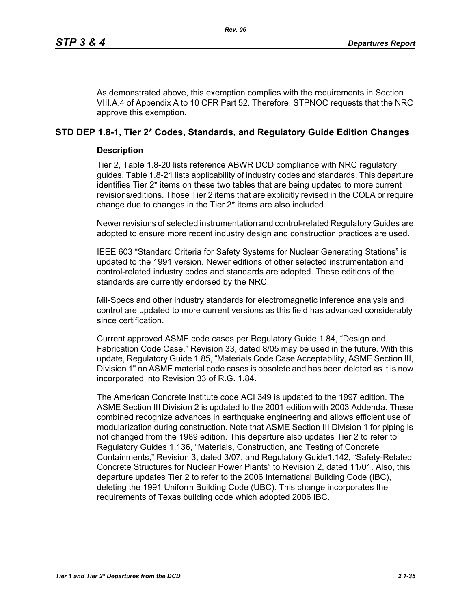As demonstrated above, this exemption complies with the requirements in Section VIII.A.4 of Appendix A to 10 CFR Part 52. Therefore, STPNOC requests that the NRC approve this exemption.

## **STD DEP 1.8-1, Tier 2\* Codes, Standards, and Regulatory Guide Edition Changes**

## **Description**

Tier 2, Table 1.8-20 lists reference ABWR DCD compliance with NRC regulatory guides. Table 1.8-21 lists applicability of industry codes and standards. This departure identifies Tier 2\* items on these two tables that are being updated to more current revisions/editions. Those Tier 2 items that are explicitly revised in the COLA or require change due to changes in the Tier 2\* items are also included.

Newer revisions of selected instrumentation and control-related Regulatory Guides are adopted to ensure more recent industry design and construction practices are used.

IEEE 603 "Standard Criteria for Safety Systems for Nuclear Generating Stations" is updated to the 1991 version. Newer editions of other selected instrumentation and control-related industry codes and standards are adopted. These editions of the standards are currently endorsed by the NRC.

Mil-Specs and other industry standards for electromagnetic inference analysis and control are updated to more current versions as this field has advanced considerably since certification.

Current approved ASME code cases per Regulatory Guide 1.84, "Design and Fabrication Code Case," Revision 33, dated 8/05 may be used in the future. With this update, Regulatory Guide 1.85, "Materials Code Case Acceptability, ASME Section III, Division 1" on ASME material code cases is obsolete and has been deleted as it is now incorporated into Revision 33 of R.G. 1.84.

The American Concrete Institute code ACI 349 is updated to the 1997 edition. The ASME Section III Division 2 is updated to the 2001 edition with 2003 Addenda. These combined recognize advances in earthquake engineering and allows efficient use of modularization during construction. Note that ASME Section III Division 1 for piping is not changed from the 1989 edition. This departure also updates Tier 2 to refer to Regulatory Guides 1.136, "Materials, Construction, and Testing of Concrete Containments," Revision 3, dated 3/07, and Regulatory Guide1.142, "Safety-Related Concrete Structures for Nuclear Power Plants" to Revision 2, dated 11/01. Also, this departure updates Tier 2 to refer to the 2006 International Building Code (IBC), deleting the 1991 Uniform Building Code (UBC). This change incorporates the requirements of Texas building code which adopted 2006 IBC.